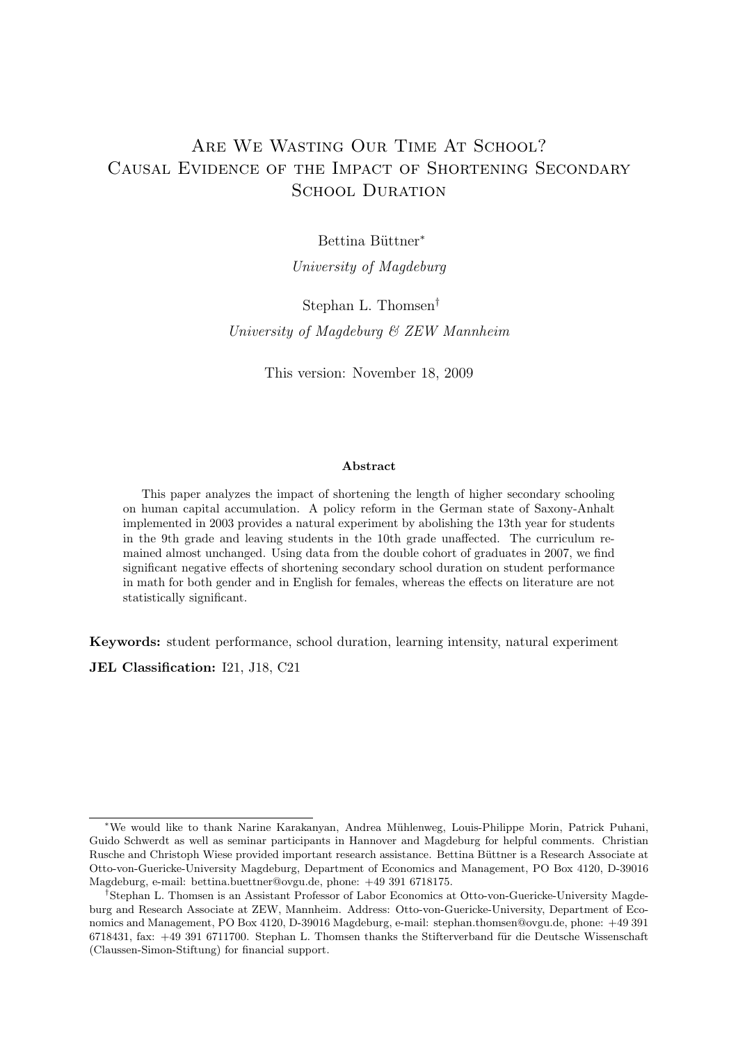# ARE WE WASTING OUR TIME AT SCHOOL? Causal Evidence of the Impact of Shortening Secondary SCHOOL DURATION

Bettina Büttner<sup>\*</sup>

University of Magdeburg

# Stephan L. Thomsen† University of Magdeburg & ZEW Mannheim

This version: November 18, 2009

#### Abstract

This paper analyzes the impact of shortening the length of higher secondary schooling on human capital accumulation. A policy reform in the German state of Saxony-Anhalt implemented in 2003 provides a natural experiment by abolishing the 13th year for students in the 9th grade and leaving students in the 10th grade unaffected. The curriculum remained almost unchanged. Using data from the double cohort of graduates in 2007, we find significant negative effects of shortening secondary school duration on student performance in math for both gender and in English for females, whereas the effects on literature are not statistically significant.

Keywords: student performance, school duration, learning intensity, natural experiment JEL Classification: I21, J18, C21

<sup>∗</sup>We would like to thank Narine Karakanyan, Andrea M¨uhlenweg, Louis-Philippe Morin, Patrick Puhani, Guido Schwerdt as well as seminar participants in Hannover and Magdeburg for helpful comments. Christian Rusche and Christoph Wiese provided important research assistance. Bettina Büttner is a Research Associate at Otto-von-Guericke-University Magdeburg, Department of Economics and Management, PO Box 4120, D-39016 Magdeburg, e-mail: bettina.buettner@ovgu.de, phone: +49 391 6718175.

<sup>†</sup>Stephan L. Thomsen is an Assistant Professor of Labor Economics at Otto-von-Guericke-University Magdeburg and Research Associate at ZEW, Mannheim. Address: Otto-von-Guericke-University, Department of Economics and Management, PO Box 4120, D-39016 Magdeburg, e-mail: stephan.thomsen@ovgu.de, phone: +49 391 6718431, fax: +49 391 6711700. Stephan L. Thomsen thanks the Stifterverband für die Deutsche Wissenschaft (Claussen-Simon-Stiftung) for financial support.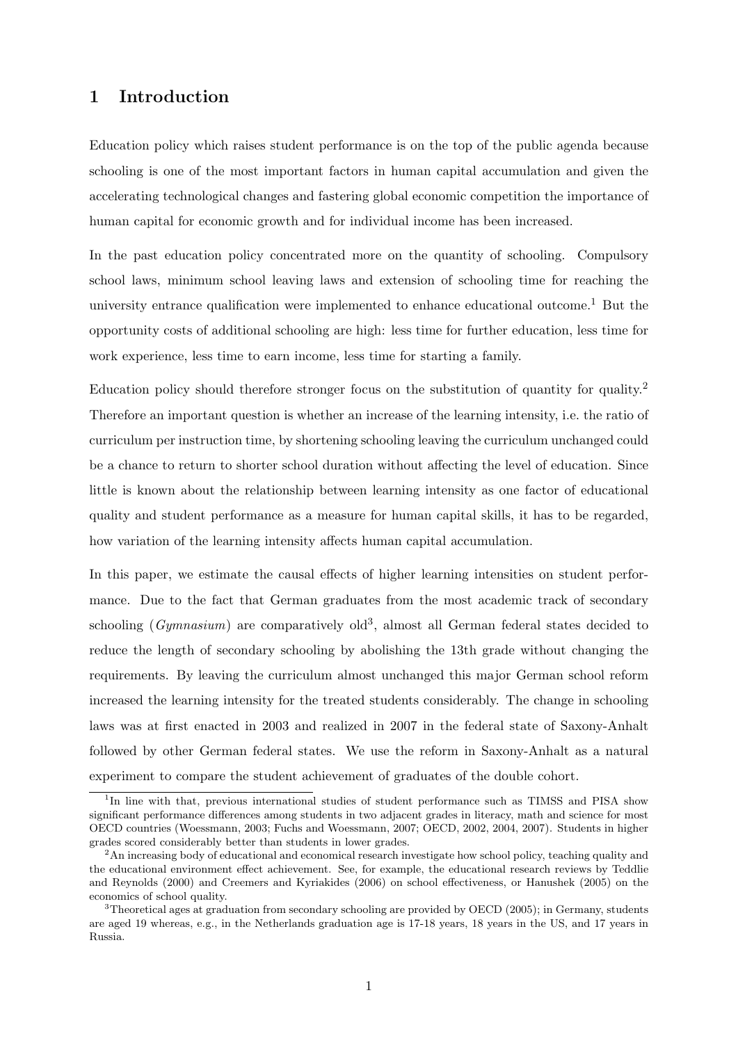### 1 Introduction

Education policy which raises student performance is on the top of the public agenda because schooling is one of the most important factors in human capital accumulation and given the accelerating technological changes and fastering global economic competition the importance of human capital for economic growth and for individual income has been increased.

In the past education policy concentrated more on the quantity of schooling. Compulsory school laws, minimum school leaving laws and extension of schooling time for reaching the university entrance qualification were implemented to enhance educational outcome.<sup>1</sup> But the opportunity costs of additional schooling are high: less time for further education, less time for work experience, less time to earn income, less time for starting a family.

Education policy should therefore stronger focus on the substitution of quantity for quality.<sup>2</sup> Therefore an important question is whether an increase of the learning intensity, i.e. the ratio of curriculum per instruction time, by shortening schooling leaving the curriculum unchanged could be a chance to return to shorter school duration without affecting the level of education. Since little is known about the relationship between learning intensity as one factor of educational quality and student performance as a measure for human capital skills, it has to be regarded, how variation of the learning intensity affects human capital accumulation.

In this paper, we estimate the causal effects of higher learning intensities on student performance. Due to the fact that German graduates from the most academic track of secondary schooling (*Gymnasium*) are comparatively old<sup>3</sup>, almost all German federal states decided to reduce the length of secondary schooling by abolishing the 13th grade without changing the requirements. By leaving the curriculum almost unchanged this major German school reform increased the learning intensity for the treated students considerably. The change in schooling laws was at first enacted in 2003 and realized in 2007 in the federal state of Saxony-Anhalt followed by other German federal states. We use the reform in Saxony-Anhalt as a natural experiment to compare the student achievement of graduates of the double cohort.

<sup>&</sup>lt;sup>1</sup>In line with that, previous international studies of student performance such as TIMSS and PISA show significant performance differences among students in two adjacent grades in literacy, math and science for most OECD countries (Woessmann, 2003; Fuchs and Woessmann, 2007; OECD, 2002, 2004, 2007). Students in higher grades scored considerably better than students in lower grades.

 $2<sup>2</sup>$ An increasing body of educational and economical research investigate how school policy, teaching quality and the educational environment effect achievement. See, for example, the educational research reviews by Teddlie and Reynolds (2000) and Creemers and Kyriakides (2006) on school effectiveness, or Hanushek (2005) on the economics of school quality.

<sup>&</sup>lt;sup>3</sup>Theoretical ages at graduation from secondary schooling are provided by OECD (2005); in Germany, students are aged 19 whereas, e.g., in the Netherlands graduation age is 17-18 years, 18 years in the US, and 17 years in Russia.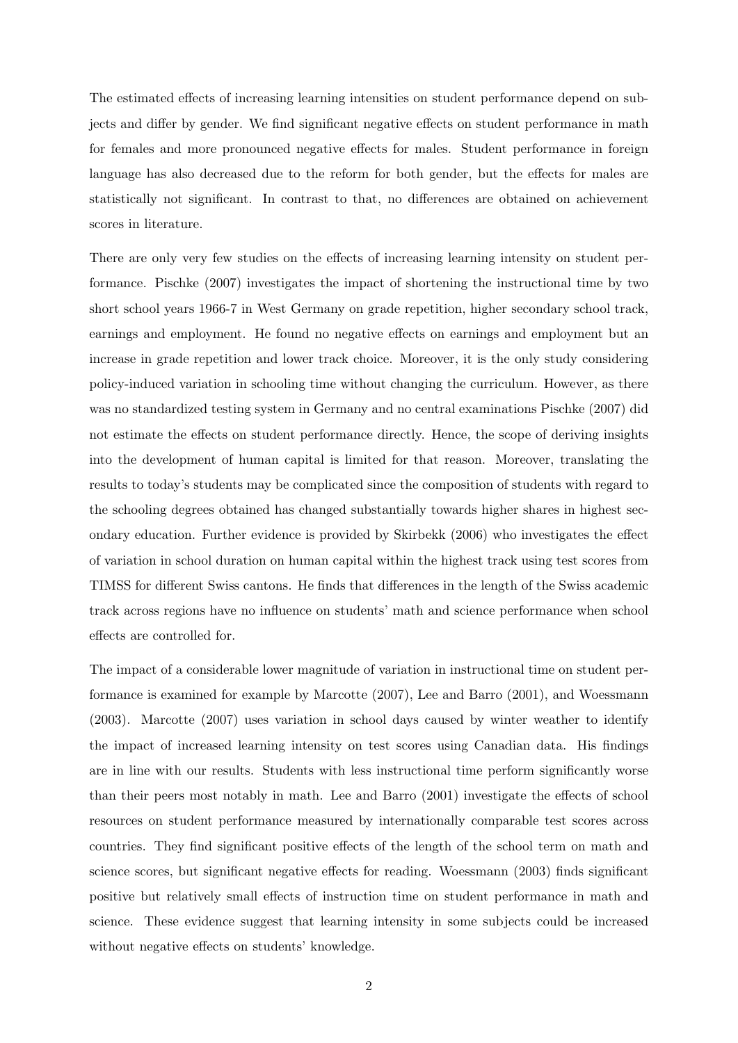The estimated effects of increasing learning intensities on student performance depend on subjects and differ by gender. We find significant negative effects on student performance in math for females and more pronounced negative effects for males. Student performance in foreign language has also decreased due to the reform for both gender, but the effects for males are statistically not significant. In contrast to that, no differences are obtained on achievement scores in literature.

There are only very few studies on the effects of increasing learning intensity on student performance. Pischke (2007) investigates the impact of shortening the instructional time by two short school years 1966-7 in West Germany on grade repetition, higher secondary school track, earnings and employment. He found no negative effects on earnings and employment but an increase in grade repetition and lower track choice. Moreover, it is the only study considering policy-induced variation in schooling time without changing the curriculum. However, as there was no standardized testing system in Germany and no central examinations Pischke (2007) did not estimate the effects on student performance directly. Hence, the scope of deriving insights into the development of human capital is limited for that reason. Moreover, translating the results to today's students may be complicated since the composition of students with regard to the schooling degrees obtained has changed substantially towards higher shares in highest secondary education. Further evidence is provided by Skirbekk (2006) who investigates the effect of variation in school duration on human capital within the highest track using test scores from TIMSS for different Swiss cantons. He finds that differences in the length of the Swiss academic track across regions have no influence on students' math and science performance when school effects are controlled for.

The impact of a considerable lower magnitude of variation in instructional time on student performance is examined for example by Marcotte (2007), Lee and Barro (2001), and Woessmann (2003). Marcotte (2007) uses variation in school days caused by winter weather to identify the impact of increased learning intensity on test scores using Canadian data. His findings are in line with our results. Students with less instructional time perform significantly worse than their peers most notably in math. Lee and Barro (2001) investigate the effects of school resources on student performance measured by internationally comparable test scores across countries. They find significant positive effects of the length of the school term on math and science scores, but significant negative effects for reading. Woessmann (2003) finds significant positive but relatively small effects of instruction time on student performance in math and science. These evidence suggest that learning intensity in some subjects could be increased without negative effects on students' knowledge.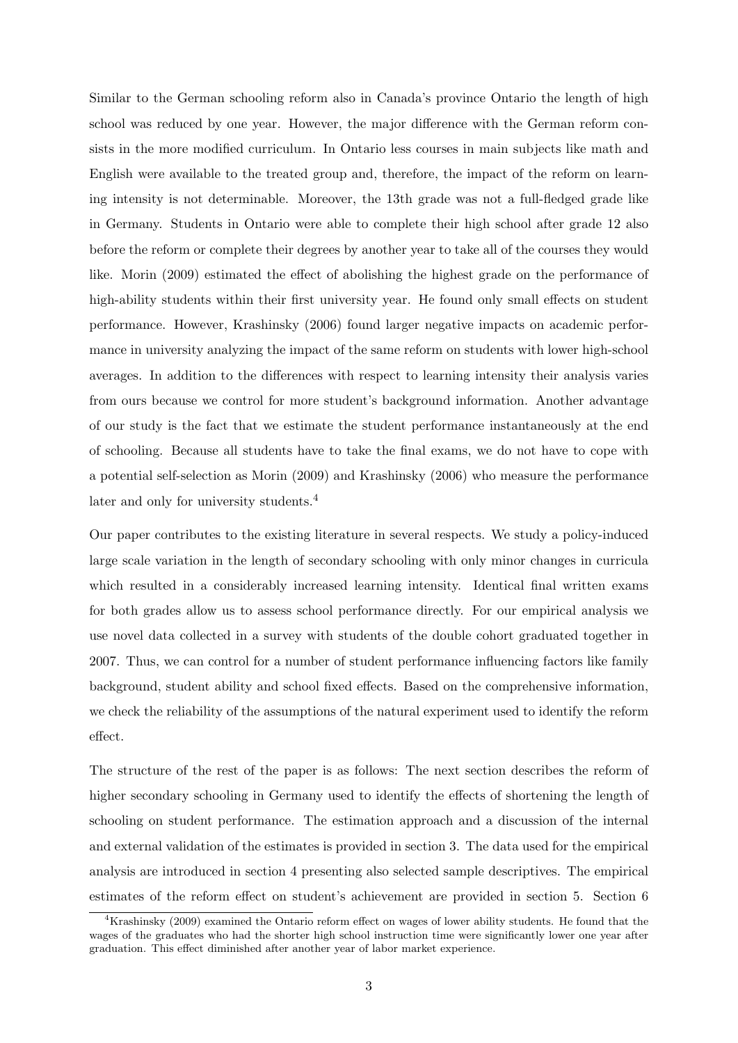Similar to the German schooling reform also in Canada's province Ontario the length of high school was reduced by one year. However, the major difference with the German reform consists in the more modified curriculum. In Ontario less courses in main subjects like math and English were available to the treated group and, therefore, the impact of the reform on learning intensity is not determinable. Moreover, the 13th grade was not a full-fledged grade like in Germany. Students in Ontario were able to complete their high school after grade 12 also before the reform or complete their degrees by another year to take all of the courses they would like. Morin (2009) estimated the effect of abolishing the highest grade on the performance of high-ability students within their first university year. He found only small effects on student performance. However, Krashinsky (2006) found larger negative impacts on academic performance in university analyzing the impact of the same reform on students with lower high-school averages. In addition to the differences with respect to learning intensity their analysis varies from ours because we control for more student's background information. Another advantage of our study is the fact that we estimate the student performance instantaneously at the end of schooling. Because all students have to take the final exams, we do not have to cope with a potential self-selection as Morin (2009) and Krashinsky (2006) who measure the performance later and only for university students.<sup>4</sup>

Our paper contributes to the existing literature in several respects. We study a policy-induced large scale variation in the length of secondary schooling with only minor changes in curricula which resulted in a considerably increased learning intensity. Identical final written exams for both grades allow us to assess school performance directly. For our empirical analysis we use novel data collected in a survey with students of the double cohort graduated together in 2007. Thus, we can control for a number of student performance influencing factors like family background, student ability and school fixed effects. Based on the comprehensive information, we check the reliability of the assumptions of the natural experiment used to identify the reform effect.

The structure of the rest of the paper is as follows: The next section describes the reform of higher secondary schooling in Germany used to identify the effects of shortening the length of schooling on student performance. The estimation approach and a discussion of the internal and external validation of the estimates is provided in section 3. The data used for the empirical analysis are introduced in section 4 presenting also selected sample descriptives. The empirical estimates of the reform effect on student's achievement are provided in section 5. Section 6

<sup>4</sup>Krashinsky (2009) examined the Ontario reform effect on wages of lower ability students. He found that the wages of the graduates who had the shorter high school instruction time were significantly lower one year after graduation. This effect diminished after another year of labor market experience.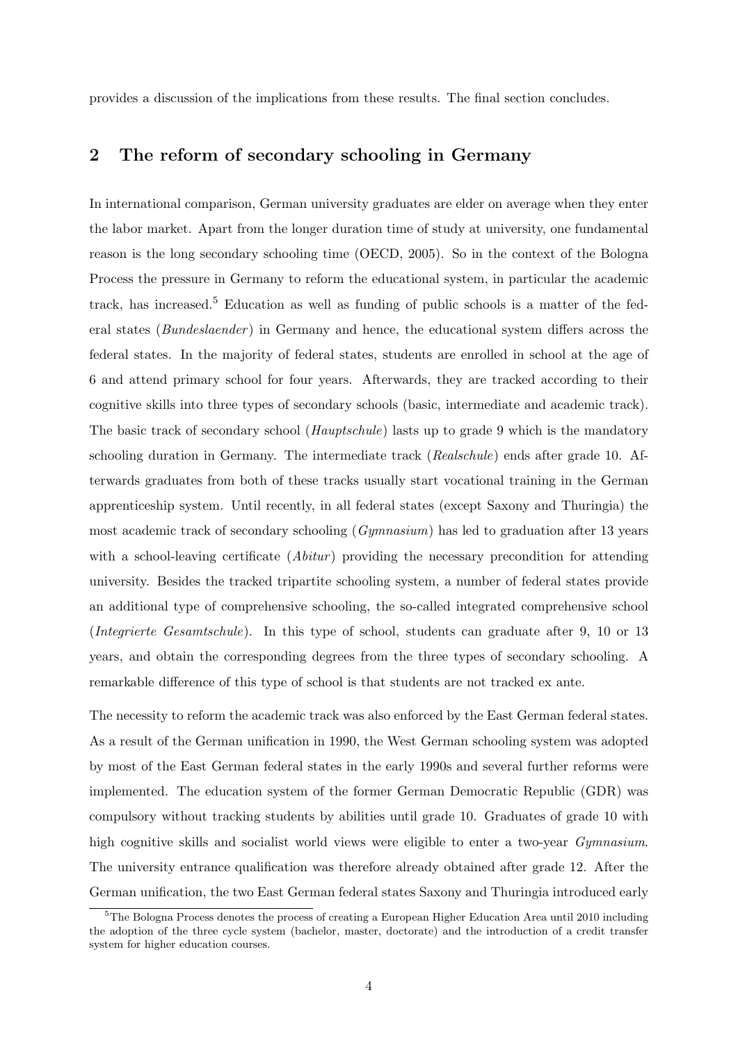provides a discussion of the implications from these results. The final section concludes.

## 2 The reform of secondary schooling in Germany

In international comparison, German university graduates are elder on average when they enter the labor market. Apart from the longer duration time of study at university, one fundamental reason is the long secondary schooling time (OECD, 2005). So in the context of the Bologna Process the pressure in Germany to reform the educational system, in particular the academic track, has increased.<sup>5</sup> Education as well as funding of public schools is a matter of the federal states (*Bundeslaender*) in Germany and hence, the educational system differs across the federal states. In the majority of federal states, students are enrolled in school at the age of 6 and attend primary school for four years. Afterwards, they are tracked according to their cognitive skills into three types of secondary schools (basic, intermediate and academic track). The basic track of secondary school (*Hauptschule*) lasts up to grade 9 which is the mandatory schooling duration in Germany. The intermediate track (Realschule) ends after grade 10. Afterwards graduates from both of these tracks usually start vocational training in the German apprenticeship system. Until recently, in all federal states (except Saxony and Thuringia) the most academic track of secondary schooling (Gymnasium) has led to graduation after 13 years with a school-leaving certificate  $(Abitur)$  providing the necessary precondition for attending university. Besides the tracked tripartite schooling system, a number of federal states provide an additional type of comprehensive schooling, the so-called integrated comprehensive school (Integrierte Gesamtschule). In this type of school, students can graduate after 9, 10 or 13 years, and obtain the corresponding degrees from the three types of secondary schooling. A remarkable difference of this type of school is that students are not tracked ex ante.

The necessity to reform the academic track was also enforced by the East German federal states. As a result of the German unification in 1990, the West German schooling system was adopted by most of the East German federal states in the early 1990s and several further reforms were implemented. The education system of the former German Democratic Republic (GDR) was compulsory without tracking students by abilities until grade 10. Graduates of grade 10 with high cognitive skills and socialist world views were eligible to enter a two-year *Gymnasium*. The university entrance qualification was therefore already obtained after grade 12. After the German unification, the two East German federal states Saxony and Thuringia introduced early

 $5$ The Bologna Process denotes the process of creating a European Higher Education Area until 2010 including the adoption of the three cycle system (bachelor, master, doctorate) and the introduction of a credit transfer system for higher education courses.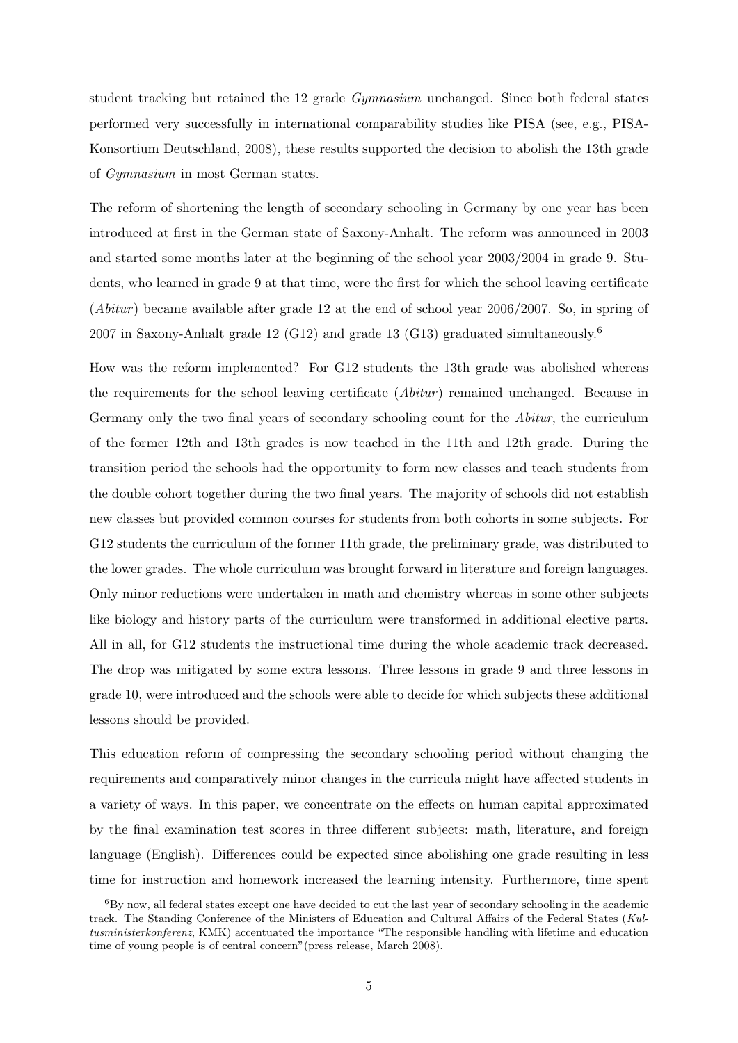student tracking but retained the 12 grade Gymnasium unchanged. Since both federal states performed very successfully in international comparability studies like PISA (see, e.g., PISA-Konsortium Deutschland, 2008), these results supported the decision to abolish the 13th grade of Gymnasium in most German states.

The reform of shortening the length of secondary schooling in Germany by one year has been introduced at first in the German state of Saxony-Anhalt. The reform was announced in 2003 and started some months later at the beginning of the school year 2003/2004 in grade 9. Students, who learned in grade 9 at that time, were the first for which the school leaving certificate (*Abitur*) became available after grade 12 at the end of school year  $2006/2007$ . So, in spring of 2007 in Saxony-Anhalt grade 12 (G12) and grade 13 (G13) graduated simultaneously.<sup>6</sup>

How was the reform implemented? For G12 students the 13th grade was abolished whereas the requirements for the school leaving certificate  $(Abitur)$  remained unchanged. Because in Germany only the two final years of secondary schooling count for the *Abitur*, the curriculum of the former 12th and 13th grades is now teached in the 11th and 12th grade. During the transition period the schools had the opportunity to form new classes and teach students from the double cohort together during the two final years. The majority of schools did not establish new classes but provided common courses for students from both cohorts in some subjects. For G12 students the curriculum of the former 11th grade, the preliminary grade, was distributed to the lower grades. The whole curriculum was brought forward in literature and foreign languages. Only minor reductions were undertaken in math and chemistry whereas in some other subjects like biology and history parts of the curriculum were transformed in additional elective parts. All in all, for G12 students the instructional time during the whole academic track decreased. The drop was mitigated by some extra lessons. Three lessons in grade 9 and three lessons in grade 10, were introduced and the schools were able to decide for which subjects these additional lessons should be provided.

This education reform of compressing the secondary schooling period without changing the requirements and comparatively minor changes in the curricula might have affected students in a variety of ways. In this paper, we concentrate on the effects on human capital approximated by the final examination test scores in three different subjects: math, literature, and foreign language (English). Differences could be expected since abolishing one grade resulting in less time for instruction and homework increased the learning intensity. Furthermore, time spent

 ${}^{6}$ By now, all federal states except one have decided to cut the last year of secondary schooling in the academic track. The Standing Conference of the Ministers of Education and Cultural Affairs of the Federal States (Kultusministerkonferenz, KMK) accentuated the importance "The responsible handling with lifetime and education time of young people is of central concern"(press release, March 2008).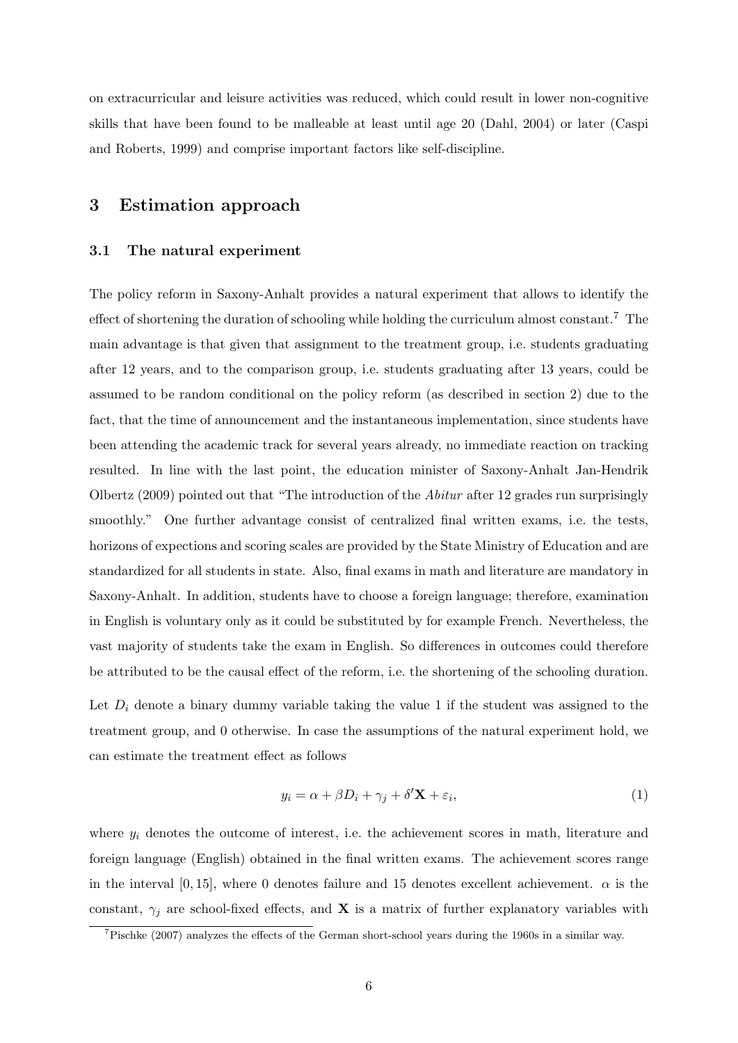on extracurricular and leisure activities was reduced, which could result in lower non-cognitive skills that have been found to be malleable at least until age 20 (Dahl, 2004) or later (Caspi and Roberts, 1999) and comprise important factors like self-discipline.

## 3 Estimation approach

#### 3.1 The natural experiment

The policy reform in Saxony-Anhalt provides a natural experiment that allows to identify the effect of shortening the duration of schooling while holding the curriculum almost constant.<sup>7</sup> The main advantage is that given that assignment to the treatment group, i.e. students graduating after 12 years, and to the comparison group, i.e. students graduating after 13 years, could be assumed to be random conditional on the policy reform (as described in section 2) due to the fact, that the time of announcement and the instantaneous implementation, since students have been attending the academic track for several years already, no immediate reaction on tracking resulted. In line with the last point, the education minister of Saxony-Anhalt Jan-Hendrik Olbertz (2009) pointed out that "The introduction of the Abitur after 12 grades run surprisingly smoothly." One further advantage consist of centralized final written exams, i.e. the tests, horizons of expections and scoring scales are provided by the State Ministry of Education and are standardized for all students in state. Also, final exams in math and literature are mandatory in Saxony-Anhalt. In addition, students have to choose a foreign language; therefore, examination in English is voluntary only as it could be substituted by for example French. Nevertheless, the vast majority of students take the exam in English. So differences in outcomes could therefore be attributed to be the causal effect of the reform, i.e. the shortening of the schooling duration.

Let  $D_i$  denote a binary dummy variable taking the value 1 if the student was assigned to the treatment group, and 0 otherwise. In case the assumptions of the natural experiment hold, we can estimate the treatment effect as follows

$$
y_i = \alpha + \beta D_i + \gamma_j + \delta' \mathbf{X} + \varepsilon_i,\tag{1}
$$

where  $y_i$  denotes the outcome of interest, i.e. the achievement scores in math, literature and foreign language (English) obtained in the final written exams. The achievement scores range in the interval [0, 15], where 0 denotes failure and 15 denotes excellent achievement.  $\alpha$  is the constant,  $\gamma_j$  are school-fixed effects, and **X** is a matrix of further explanatory variables with

<sup>7</sup>Pischke (2007) analyzes the effects of the German short-school years during the 1960s in a similar way.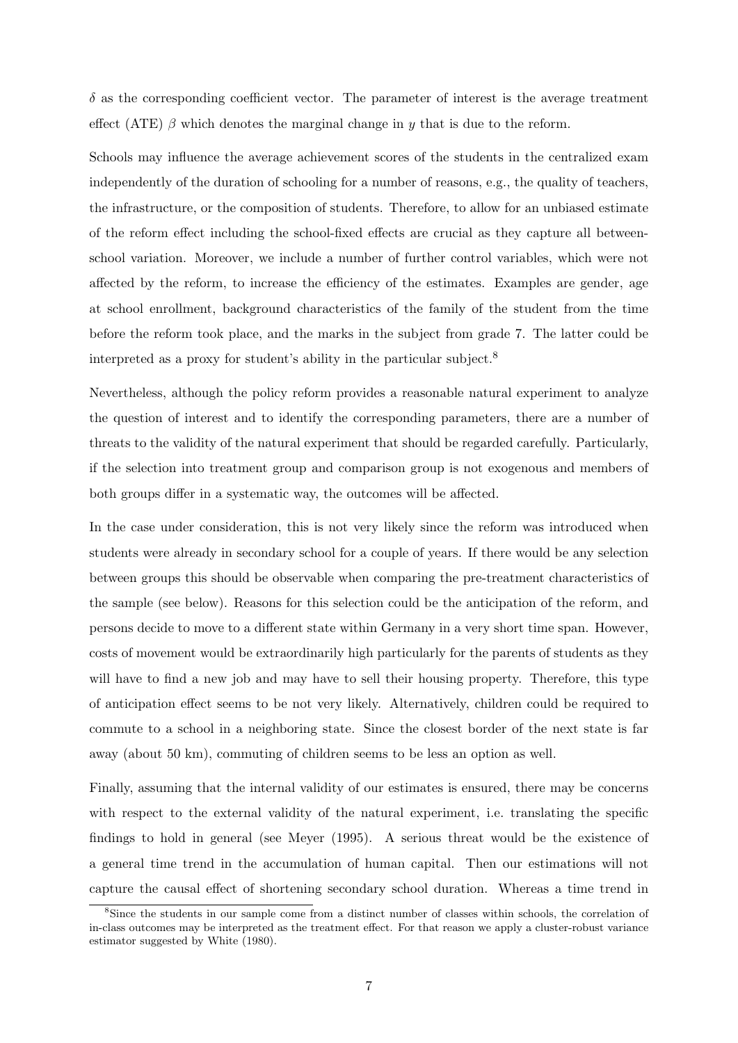$\delta$  as the corresponding coefficient vector. The parameter of interest is the average treatment effect (ATE)  $\beta$  which denotes the marginal change in y that is due to the reform.

Schools may influence the average achievement scores of the students in the centralized exam independently of the duration of schooling for a number of reasons, e.g., the quality of teachers, the infrastructure, or the composition of students. Therefore, to allow for an unbiased estimate of the reform effect including the school-fixed effects are crucial as they capture all betweenschool variation. Moreover, we include a number of further control variables, which were not affected by the reform, to increase the efficiency of the estimates. Examples are gender, age at school enrollment, background characteristics of the family of the student from the time before the reform took place, and the marks in the subject from grade 7. The latter could be interpreted as a proxy for student's ability in the particular subject.<sup>8</sup>

Nevertheless, although the policy reform provides a reasonable natural experiment to analyze the question of interest and to identify the corresponding parameters, there are a number of threats to the validity of the natural experiment that should be regarded carefully. Particularly, if the selection into treatment group and comparison group is not exogenous and members of both groups differ in a systematic way, the outcomes will be affected.

In the case under consideration, this is not very likely since the reform was introduced when students were already in secondary school for a couple of years. If there would be any selection between groups this should be observable when comparing the pre-treatment characteristics of the sample (see below). Reasons for this selection could be the anticipation of the reform, and persons decide to move to a different state within Germany in a very short time span. However, costs of movement would be extraordinarily high particularly for the parents of students as they will have to find a new job and may have to sell their housing property. Therefore, this type of anticipation effect seems to be not very likely. Alternatively, children could be required to commute to a school in a neighboring state. Since the closest border of the next state is far away (about 50 km), commuting of children seems to be less an option as well.

Finally, assuming that the internal validity of our estimates is ensured, there may be concerns with respect to the external validity of the natural experiment, i.e. translating the specific findings to hold in general (see Meyer (1995). A serious threat would be the existence of a general time trend in the accumulation of human capital. Then our estimations will not capture the causal effect of shortening secondary school duration. Whereas a time trend in

<sup>&</sup>lt;sup>8</sup>Since the students in our sample come from a distinct number of classes within schools, the correlation of in-class outcomes may be interpreted as the treatment effect. For that reason we apply a cluster-robust variance estimator suggested by White (1980).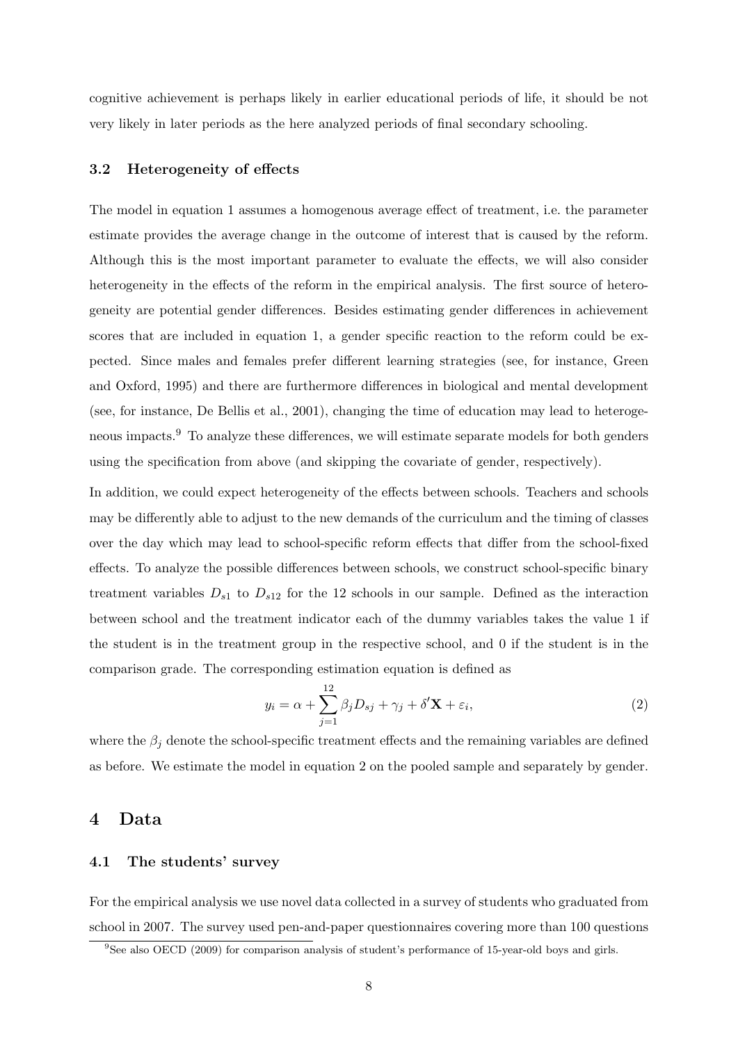cognitive achievement is perhaps likely in earlier educational periods of life, it should be not very likely in later periods as the here analyzed periods of final secondary schooling.

#### 3.2 Heterogeneity of effects

The model in equation 1 assumes a homogenous average effect of treatment, i.e. the parameter estimate provides the average change in the outcome of interest that is caused by the reform. Although this is the most important parameter to evaluate the effects, we will also consider heterogeneity in the effects of the reform in the empirical analysis. The first source of heterogeneity are potential gender differences. Besides estimating gender differences in achievement scores that are included in equation 1, a gender specific reaction to the reform could be expected. Since males and females prefer different learning strategies (see, for instance, Green and Oxford, 1995) and there are furthermore differences in biological and mental development (see, for instance, De Bellis et al., 2001), changing the time of education may lead to heterogeneous impacts.<sup>9</sup> To analyze these differences, we will estimate separate models for both genders using the specification from above (and skipping the covariate of gender, respectively).

In addition, we could expect heterogeneity of the effects between schools. Teachers and schools may be differently able to adjust to the new demands of the curriculum and the timing of classes over the day which may lead to school-specific reform effects that differ from the school-fixed effects. To analyze the possible differences between schools, we construct school-specific binary treatment variables  $D_{s1}$  to  $D_{s12}$  for the 12 schools in our sample. Defined as the interaction between school and the treatment indicator each of the dummy variables takes the value 1 if the student is in the treatment group in the respective school, and 0 if the student is in the comparison grade. The corresponding estimation equation is defined as

$$
y_i = \alpha + \sum_{j=1}^{12} \beta_j D_{sj} + \gamma_j + \delta' \mathbf{X} + \varepsilon_i,
$$
\n(2)

where the  $\beta_j$  denote the school-specific treatment effects and the remaining variables are defined as before. We estimate the model in equation 2 on the pooled sample and separately by gender.

### 4 Data

#### 4.1 The students' survey

For the empirical analysis we use novel data collected in a survey of students who graduated from school in 2007. The survey used pen-and-paper questionnaires covering more than 100 questions

<sup>9</sup>See also OECD (2009) for comparison analysis of student's performance of 15-year-old boys and girls.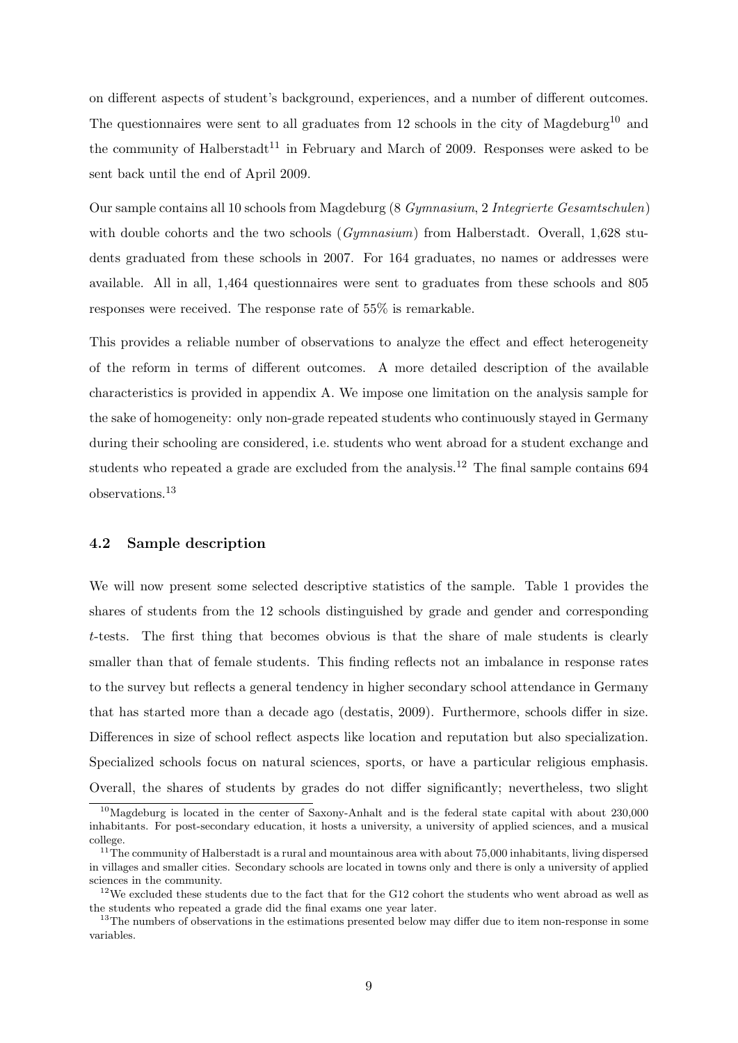on different aspects of student's background, experiences, and a number of different outcomes. The questionnaires were sent to all graduates from 12 schools in the city of Magdeburg<sup>10</sup> and the community of Halberstadt<sup>11</sup> in February and March of 2009. Responses were asked to be sent back until the end of April 2009.

Our sample contains all 10 schools from Magdeburg (8 Gymnasium, 2 Integrierte Gesamtschulen) with double cohorts and the two schools (*Gymnasium*) from Halberstadt. Overall, 1,628 students graduated from these schools in 2007. For 164 graduates, no names or addresses were available. All in all, 1,464 questionnaires were sent to graduates from these schools and 805 responses were received. The response rate of 55% is remarkable.

This provides a reliable number of observations to analyze the effect and effect heterogeneity of the reform in terms of different outcomes. A more detailed description of the available characteristics is provided in appendix A. We impose one limitation on the analysis sample for the sake of homogeneity: only non-grade repeated students who continuously stayed in Germany during their schooling are considered, i.e. students who went abroad for a student exchange and students who repeated a grade are excluded from the analysis.<sup>12</sup> The final sample contains  $694$ observations.<sup>13</sup>

#### 4.2 Sample description

We will now present some selected descriptive statistics of the sample. Table 1 provides the shares of students from the 12 schools distinguished by grade and gender and corresponding t-tests. The first thing that becomes obvious is that the share of male students is clearly smaller than that of female students. This finding reflects not an imbalance in response rates to the survey but reflects a general tendency in higher secondary school attendance in Germany that has started more than a decade ago (destatis, 2009). Furthermore, schools differ in size. Differences in size of school reflect aspects like location and reputation but also specialization. Specialized schools focus on natural sciences, sports, or have a particular religious emphasis. Overall, the shares of students by grades do not differ significantly; nevertheless, two slight

<sup>10</sup>Magdeburg is located in the center of Saxony-Anhalt and is the federal state capital with about 230,000 inhabitants. For post-secondary education, it hosts a university, a university of applied sciences, and a musical college.

 $11$ <sup>The</sup> community of Halberstadt is a rural and mountainous area with about 75,000 inhabitants, living dispersed in villages and smaller cities. Secondary schools are located in towns only and there is only a university of applied sciences in the community.

 $12$ We excluded these students due to the fact that for the G12 cohort the students who went abroad as well as the students who repeated a grade did the final exams one year later.

<sup>&</sup>lt;sup>13</sup>The numbers of observations in the estimations presented below may differ due to item non-response in some variables.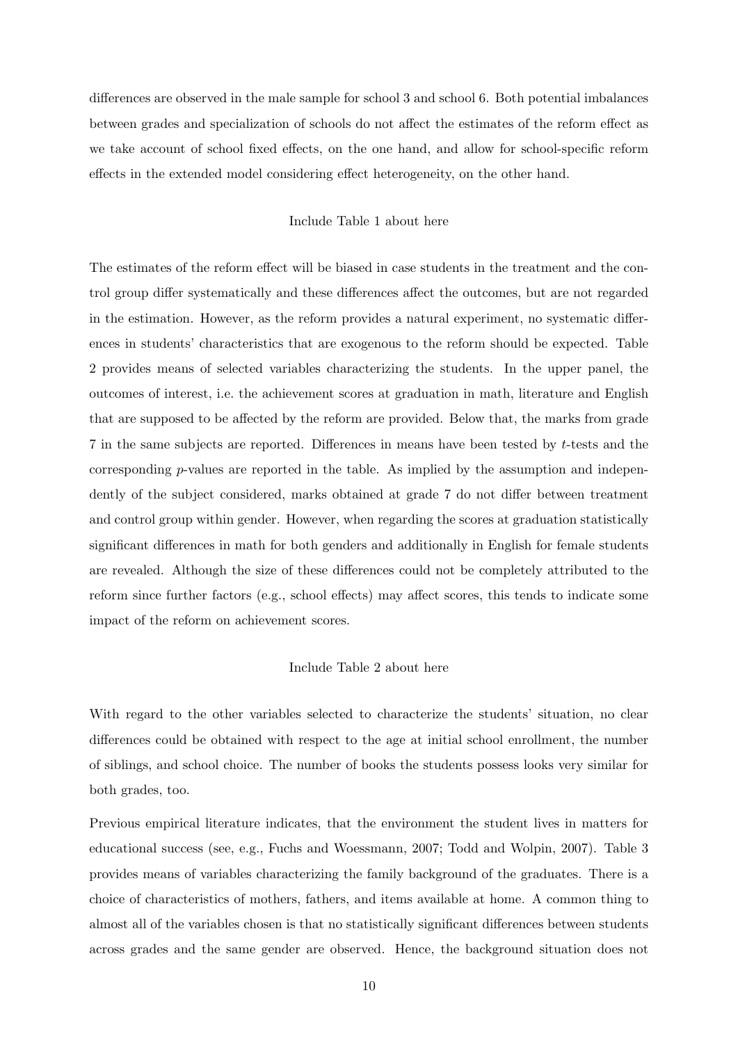differences are observed in the male sample for school 3 and school 6. Both potential imbalances between grades and specialization of schools do not affect the estimates of the reform effect as we take account of school fixed effects, on the one hand, and allow for school-specific reform effects in the extended model considering effect heterogeneity, on the other hand.

#### Include Table 1 about here

The estimates of the reform effect will be biased in case students in the treatment and the control group differ systematically and these differences affect the outcomes, but are not regarded in the estimation. However, as the reform provides a natural experiment, no systematic differences in students' characteristics that are exogenous to the reform should be expected. Table 2 provides means of selected variables characterizing the students. In the upper panel, the outcomes of interest, i.e. the achievement scores at graduation in math, literature and English that are supposed to be affected by the reform are provided. Below that, the marks from grade 7 in the same subjects are reported. Differences in means have been tested by t-tests and the corresponding  $p$ -values are reported in the table. As implied by the assumption and independently of the subject considered, marks obtained at grade 7 do not differ between treatment and control group within gender. However, when regarding the scores at graduation statistically significant differences in math for both genders and additionally in English for female students are revealed. Although the size of these differences could not be completely attributed to the reform since further factors (e.g., school effects) may affect scores, this tends to indicate some impact of the reform on achievement scores.

#### Include Table 2 about here

With regard to the other variables selected to characterize the students' situation, no clear differences could be obtained with respect to the age at initial school enrollment, the number of siblings, and school choice. The number of books the students possess looks very similar for both grades, too.

Previous empirical literature indicates, that the environment the student lives in matters for educational success (see, e.g., Fuchs and Woessmann, 2007; Todd and Wolpin, 2007). Table 3 provides means of variables characterizing the family background of the graduates. There is a choice of characteristics of mothers, fathers, and items available at home. A common thing to almost all of the variables chosen is that no statistically significant differences between students across grades and the same gender are observed. Hence, the background situation does not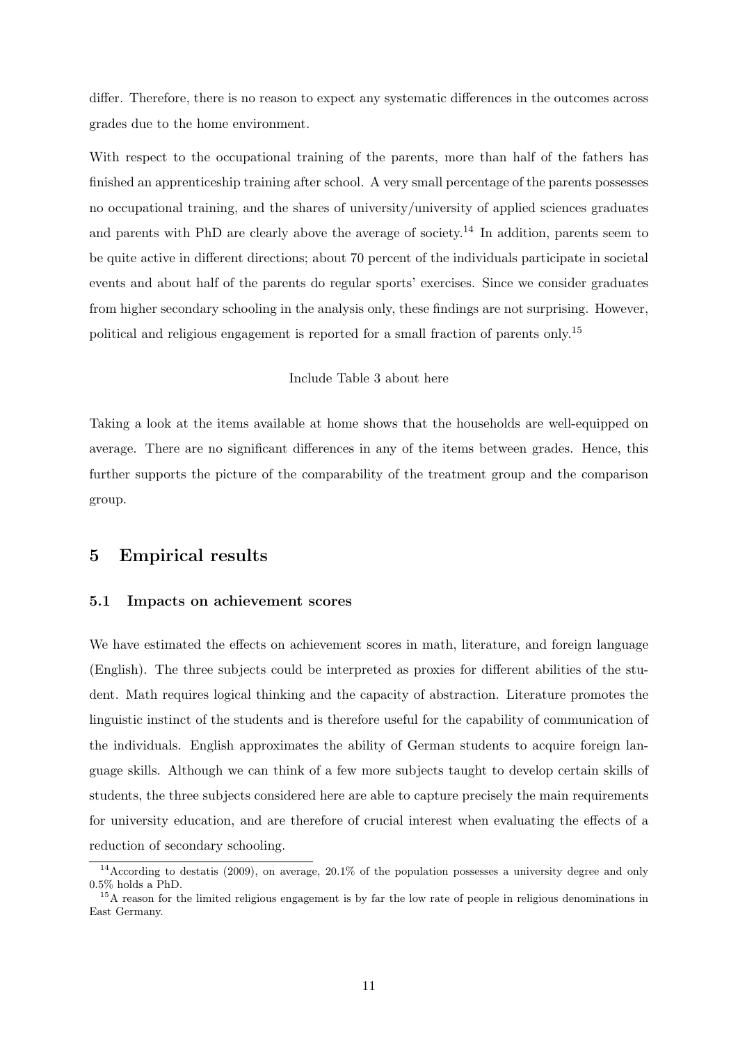differ. Therefore, there is no reason to expect any systematic differences in the outcomes across grades due to the home environment.

With respect to the occupational training of the parents, more than half of the fathers has finished an apprenticeship training after school. A very small percentage of the parents possesses no occupational training, and the shares of university/university of applied sciences graduates and parents with PhD are clearly above the average of society.<sup>14</sup> In addition, parents seem to be quite active in different directions; about 70 percent of the individuals participate in societal events and about half of the parents do regular sports' exercises. Since we consider graduates from higher secondary schooling in the analysis only, these findings are not surprising. However, political and religious engagement is reported for a small fraction of parents only.<sup>15</sup>

#### Include Table 3 about here

Taking a look at the items available at home shows that the households are well-equipped on average. There are no significant differences in any of the items between grades. Hence, this further supports the picture of the comparability of the treatment group and the comparison group.

## 5 Empirical results

#### 5.1 Impacts on achievement scores

We have estimated the effects on achievement scores in math, literature, and foreign language (English). The three subjects could be interpreted as proxies for different abilities of the student. Math requires logical thinking and the capacity of abstraction. Literature promotes the linguistic instinct of the students and is therefore useful for the capability of communication of the individuals. English approximates the ability of German students to acquire foreign language skills. Although we can think of a few more subjects taught to develop certain skills of students, the three subjects considered here are able to capture precisely the main requirements for university education, and are therefore of crucial interest when evaluating the effects of a reduction of secondary schooling.

 $14$ According to destatis (2009), on average, 20.1% of the population possesses a university degree and only  $0.5\%$  holds a PhD.

<sup>&</sup>lt;sup>15</sup>A reason for the limited religious engagement is by far the low rate of people in religious denominations in East Germany.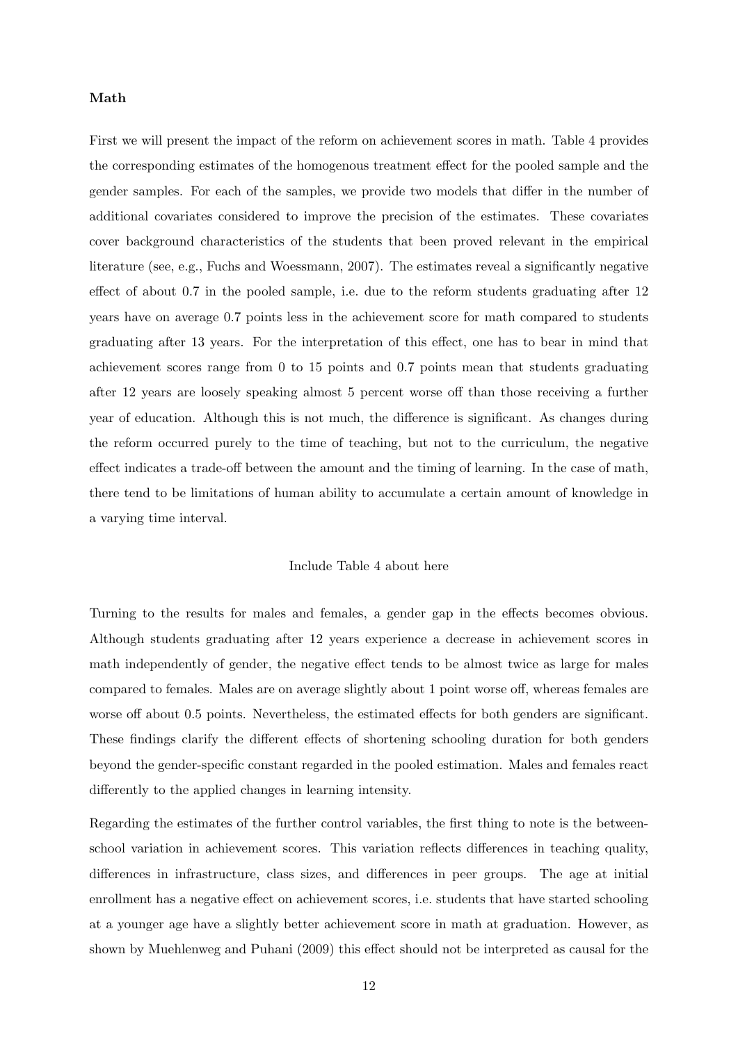#### Math

First we will present the impact of the reform on achievement scores in math. Table 4 provides the corresponding estimates of the homogenous treatment effect for the pooled sample and the gender samples. For each of the samples, we provide two models that differ in the number of additional covariates considered to improve the precision of the estimates. These covariates cover background characteristics of the students that been proved relevant in the empirical literature (see, e.g., Fuchs and Woessmann, 2007). The estimates reveal a significantly negative effect of about 0.7 in the pooled sample, i.e. due to the reform students graduating after 12 years have on average 0.7 points less in the achievement score for math compared to students graduating after 13 years. For the interpretation of this effect, one has to bear in mind that achievement scores range from 0 to 15 points and 0.7 points mean that students graduating after 12 years are loosely speaking almost 5 percent worse off than those receiving a further year of education. Although this is not much, the difference is significant. As changes during the reform occurred purely to the time of teaching, but not to the curriculum, the negative effect indicates a trade-off between the amount and the timing of learning. In the case of math, there tend to be limitations of human ability to accumulate a certain amount of knowledge in a varying time interval.

#### Include Table 4 about here

Turning to the results for males and females, a gender gap in the effects becomes obvious. Although students graduating after 12 years experience a decrease in achievement scores in math independently of gender, the negative effect tends to be almost twice as large for males compared to females. Males are on average slightly about 1 point worse off, whereas females are worse off about 0.5 points. Nevertheless, the estimated effects for both genders are significant. These findings clarify the different effects of shortening schooling duration for both genders beyond the gender-specific constant regarded in the pooled estimation. Males and females react differently to the applied changes in learning intensity.

Regarding the estimates of the further control variables, the first thing to note is the betweenschool variation in achievement scores. This variation reflects differences in teaching quality, differences in infrastructure, class sizes, and differences in peer groups. The age at initial enrollment has a negative effect on achievement scores, i.e. students that have started schooling at a younger age have a slightly better achievement score in math at graduation. However, as shown by Muehlenweg and Puhani (2009) this effect should not be interpreted as causal for the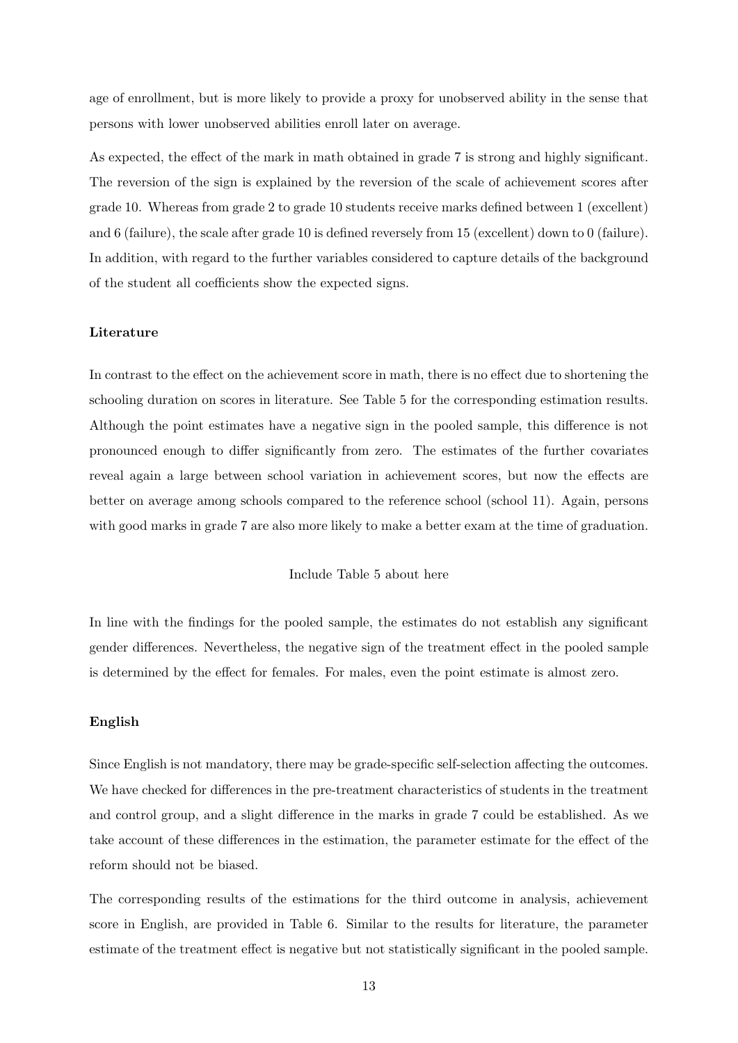age of enrollment, but is more likely to provide a proxy for unobserved ability in the sense that persons with lower unobserved abilities enroll later on average.

As expected, the effect of the mark in math obtained in grade 7 is strong and highly significant. The reversion of the sign is explained by the reversion of the scale of achievement scores after grade 10. Whereas from grade 2 to grade 10 students receive marks defined between 1 (excellent) and 6 (failure), the scale after grade 10 is defined reversely from 15 (excellent) down to 0 (failure). In addition, with regard to the further variables considered to capture details of the background of the student all coefficients show the expected signs.

#### Literature

In contrast to the effect on the achievement score in math, there is no effect due to shortening the schooling duration on scores in literature. See Table 5 for the corresponding estimation results. Although the point estimates have a negative sign in the pooled sample, this difference is not pronounced enough to differ significantly from zero. The estimates of the further covariates reveal again a large between school variation in achievement scores, but now the effects are better on average among schools compared to the reference school (school 11). Again, persons with good marks in grade 7 are also more likely to make a better exam at the time of graduation.

#### Include Table 5 about here

In line with the findings for the pooled sample, the estimates do not establish any significant gender differences. Nevertheless, the negative sign of the treatment effect in the pooled sample is determined by the effect for females. For males, even the point estimate is almost zero.

#### English

Since English is not mandatory, there may be grade-specific self-selection affecting the outcomes. We have checked for differences in the pre-treatment characteristics of students in the treatment and control group, and a slight difference in the marks in grade 7 could be established. As we take account of these differences in the estimation, the parameter estimate for the effect of the reform should not be biased.

The corresponding results of the estimations for the third outcome in analysis, achievement score in English, are provided in Table 6. Similar to the results for literature, the parameter estimate of the treatment effect is negative but not statistically significant in the pooled sample.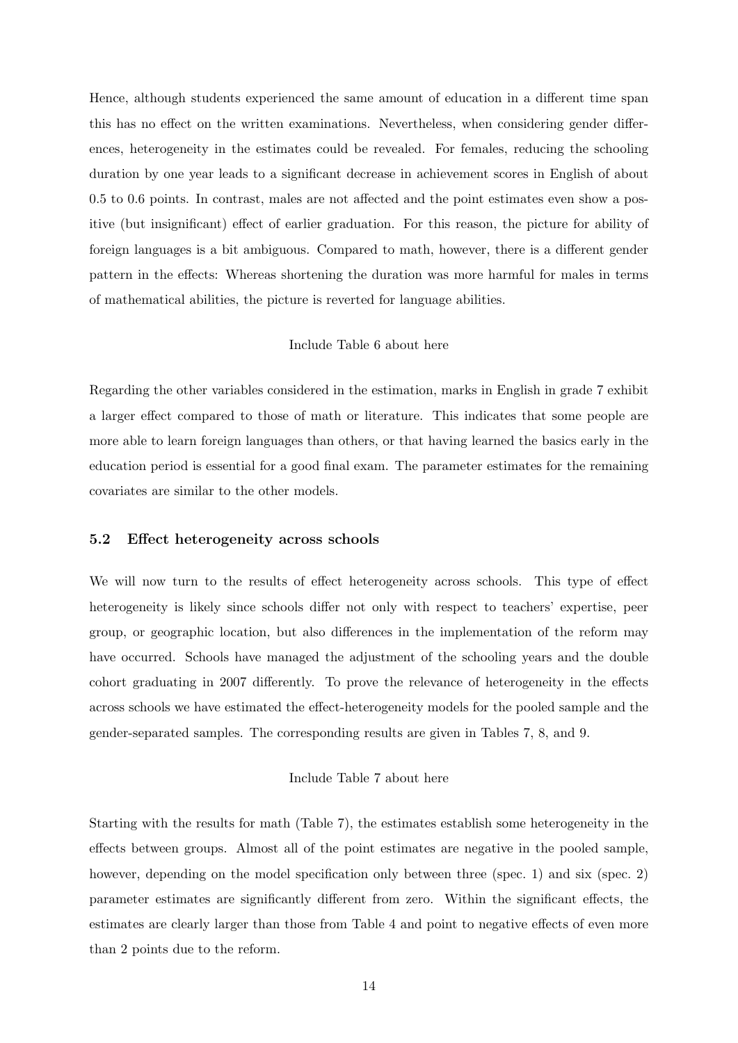Hence, although students experienced the same amount of education in a different time span this has no effect on the written examinations. Nevertheless, when considering gender differences, heterogeneity in the estimates could be revealed. For females, reducing the schooling duration by one year leads to a significant decrease in achievement scores in English of about 0.5 to 0.6 points. In contrast, males are not affected and the point estimates even show a positive (but insignificant) effect of earlier graduation. For this reason, the picture for ability of foreign languages is a bit ambiguous. Compared to math, however, there is a different gender pattern in the effects: Whereas shortening the duration was more harmful for males in terms of mathematical abilities, the picture is reverted for language abilities.

#### Include Table 6 about here

Regarding the other variables considered in the estimation, marks in English in grade 7 exhibit a larger effect compared to those of math or literature. This indicates that some people are more able to learn foreign languages than others, or that having learned the basics early in the education period is essential for a good final exam. The parameter estimates for the remaining covariates are similar to the other models.

#### 5.2 Effect heterogeneity across schools

We will now turn to the results of effect heterogeneity across schools. This type of effect heterogeneity is likely since schools differ not only with respect to teachers' expertise, peer group, or geographic location, but also differences in the implementation of the reform may have occurred. Schools have managed the adjustment of the schooling years and the double cohort graduating in 2007 differently. To prove the relevance of heterogeneity in the effects across schools we have estimated the effect-heterogeneity models for the pooled sample and the gender-separated samples. The corresponding results are given in Tables 7, 8, and 9.

#### Include Table 7 about here

Starting with the results for math (Table 7), the estimates establish some heterogeneity in the effects between groups. Almost all of the point estimates are negative in the pooled sample, however, depending on the model specification only between three (spec. 1) and six (spec. 2) parameter estimates are significantly different from zero. Within the significant effects, the estimates are clearly larger than those from Table 4 and point to negative effects of even more than 2 points due to the reform.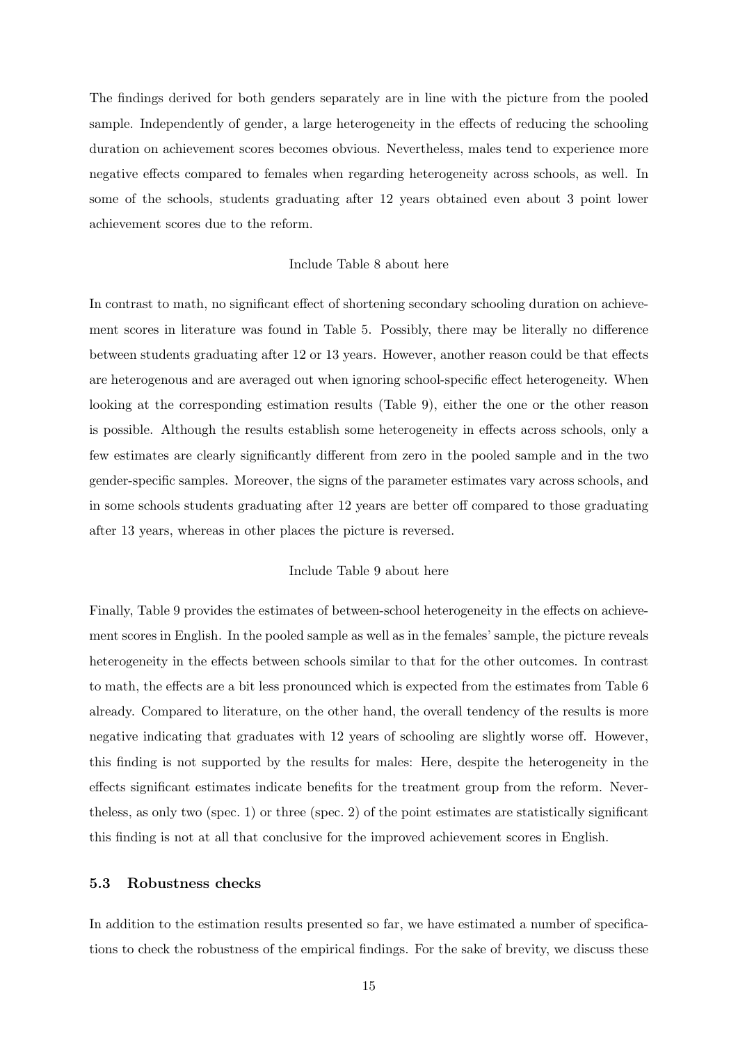The findings derived for both genders separately are in line with the picture from the pooled sample. Independently of gender, a large heterogeneity in the effects of reducing the schooling duration on achievement scores becomes obvious. Nevertheless, males tend to experience more negative effects compared to females when regarding heterogeneity across schools, as well. In some of the schools, students graduating after 12 years obtained even about 3 point lower achievement scores due to the reform.

#### Include Table 8 about here

In contrast to math, no significant effect of shortening secondary schooling duration on achievement scores in literature was found in Table 5. Possibly, there may be literally no difference between students graduating after 12 or 13 years. However, another reason could be that effects are heterogenous and are averaged out when ignoring school-specific effect heterogeneity. When looking at the corresponding estimation results (Table 9), either the one or the other reason is possible. Although the results establish some heterogeneity in effects across schools, only a few estimates are clearly significantly different from zero in the pooled sample and in the two gender-specific samples. Moreover, the signs of the parameter estimates vary across schools, and in some schools students graduating after 12 years are better off compared to those graduating after 13 years, whereas in other places the picture is reversed.

#### Include Table 9 about here

Finally, Table 9 provides the estimates of between-school heterogeneity in the effects on achievement scores in English. In the pooled sample as well as in the females' sample, the picture reveals heterogeneity in the effects between schools similar to that for the other outcomes. In contrast to math, the effects are a bit less pronounced which is expected from the estimates from Table 6 already. Compared to literature, on the other hand, the overall tendency of the results is more negative indicating that graduates with 12 years of schooling are slightly worse off. However, this finding is not supported by the results for males: Here, despite the heterogeneity in the effects significant estimates indicate benefits for the treatment group from the reform. Nevertheless, as only two (spec. 1) or three (spec. 2) of the point estimates are statistically significant this finding is not at all that conclusive for the improved achievement scores in English.

#### 5.3 Robustness checks

In addition to the estimation results presented so far, we have estimated a number of specifications to check the robustness of the empirical findings. For the sake of brevity, we discuss these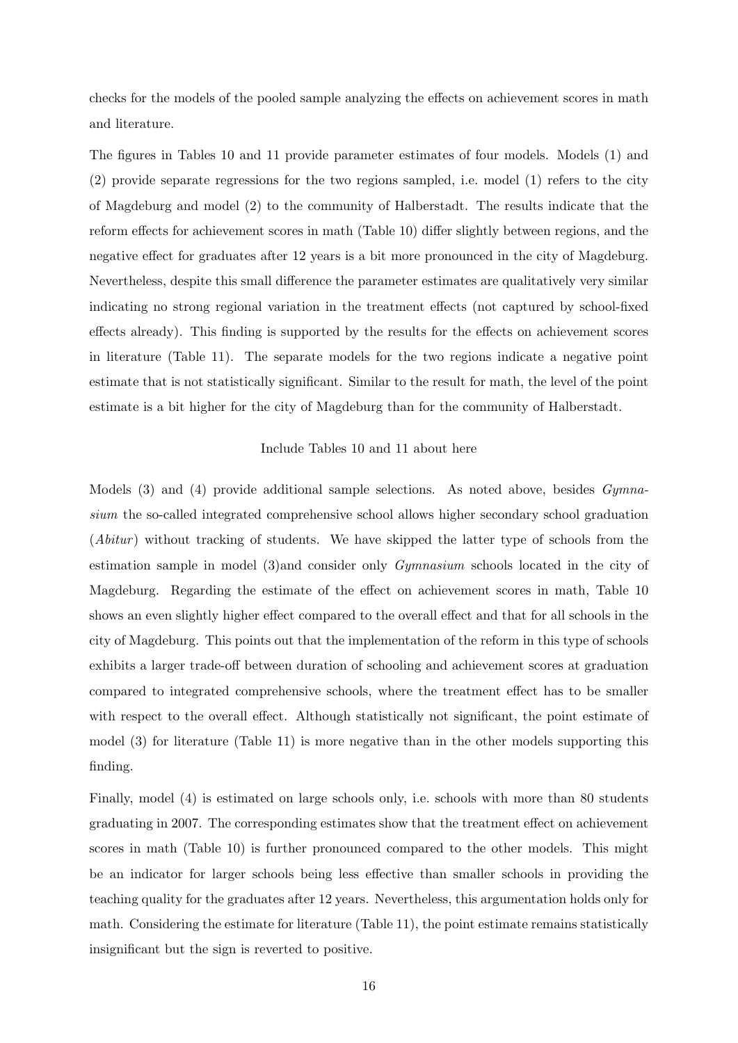checks for the models of the pooled sample analyzing the effects on achievement scores in math and literature.

The figures in Tables 10 and 11 provide parameter estimates of four models. Models (1) and (2) provide separate regressions for the two regions sampled, i.e. model (1) refers to the city of Magdeburg and model (2) to the community of Halberstadt. The results indicate that the reform effects for achievement scores in math (Table 10) differ slightly between regions, and the negative effect for graduates after 12 years is a bit more pronounced in the city of Magdeburg. Nevertheless, despite this small difference the parameter estimates are qualitatively very similar indicating no strong regional variation in the treatment effects (not captured by school-fixed effects already). This finding is supported by the results for the effects on achievement scores in literature (Table 11). The separate models for the two regions indicate a negative point estimate that is not statistically significant. Similar to the result for math, the level of the point estimate is a bit higher for the city of Magdeburg than for the community of Halberstadt.

#### Include Tables 10 and 11 about here

Models (3) and (4) provide additional sample selections. As noted above, besides *Gymna*sium the so-called integrated comprehensive school allows higher secondary school graduation  $(Abitur)$  without tracking of students. We have skipped the latter type of schools from the estimation sample in model (3)and consider only Gymnasium schools located in the city of Magdeburg. Regarding the estimate of the effect on achievement scores in math, Table 10 shows an even slightly higher effect compared to the overall effect and that for all schools in the city of Magdeburg. This points out that the implementation of the reform in this type of schools exhibits a larger trade-off between duration of schooling and achievement scores at graduation compared to integrated comprehensive schools, where the treatment effect has to be smaller with respect to the overall effect. Although statistically not significant, the point estimate of model (3) for literature (Table 11) is more negative than in the other models supporting this finding.

Finally, model (4) is estimated on large schools only, i.e. schools with more than 80 students graduating in 2007. The corresponding estimates show that the treatment effect on achievement scores in math (Table 10) is further pronounced compared to the other models. This might be an indicator for larger schools being less effective than smaller schools in providing the teaching quality for the graduates after 12 years. Nevertheless, this argumentation holds only for math. Considering the estimate for literature (Table 11), the point estimate remains statistically insignificant but the sign is reverted to positive.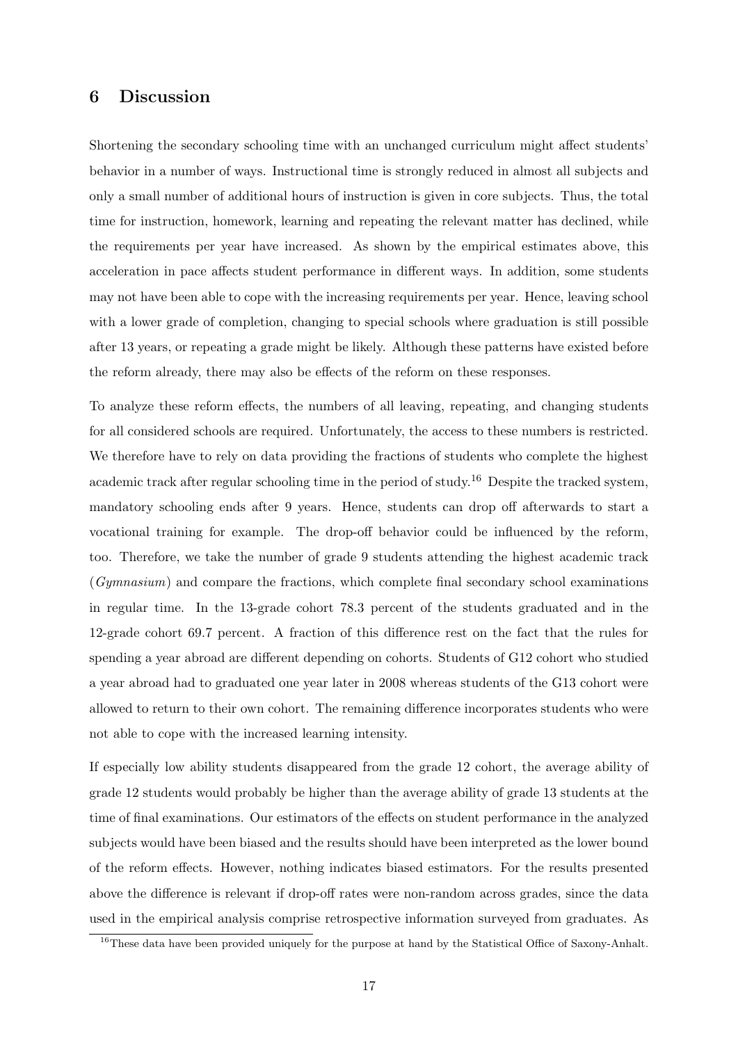## 6 Discussion

Shortening the secondary schooling time with an unchanged curriculum might affect students' behavior in a number of ways. Instructional time is strongly reduced in almost all subjects and only a small number of additional hours of instruction is given in core subjects. Thus, the total time for instruction, homework, learning and repeating the relevant matter has declined, while the requirements per year have increased. As shown by the empirical estimates above, this acceleration in pace affects student performance in different ways. In addition, some students may not have been able to cope with the increasing requirements per year. Hence, leaving school with a lower grade of completion, changing to special schools where graduation is still possible after 13 years, or repeating a grade might be likely. Although these patterns have existed before the reform already, there may also be effects of the reform on these responses.

To analyze these reform effects, the numbers of all leaving, repeating, and changing students for all considered schools are required. Unfortunately, the access to these numbers is restricted. We therefore have to rely on data providing the fractions of students who complete the highest academic track after regular schooling time in the period of study.<sup>16</sup> Despite the tracked system, mandatory schooling ends after 9 years. Hence, students can drop off afterwards to start a vocational training for example. The drop-off behavior could be influenced by the reform, too. Therefore, we take the number of grade 9 students attending the highest academic track (Gymnasium) and compare the fractions, which complete final secondary school examinations in regular time. In the 13-grade cohort 78.3 percent of the students graduated and in the 12-grade cohort 69.7 percent. A fraction of this difference rest on the fact that the rules for spending a year abroad are different depending on cohorts. Students of G12 cohort who studied a year abroad had to graduated one year later in 2008 whereas students of the G13 cohort were allowed to return to their own cohort. The remaining difference incorporates students who were not able to cope with the increased learning intensity.

If especially low ability students disappeared from the grade 12 cohort, the average ability of grade 12 students would probably be higher than the average ability of grade 13 students at the time of final examinations. Our estimators of the effects on student performance in the analyzed subjects would have been biased and the results should have been interpreted as the lower bound of the reform effects. However, nothing indicates biased estimators. For the results presented above the difference is relevant if drop-off rates were non-random across grades, since the data used in the empirical analysis comprise retrospective information surveyed from graduates. As

<sup>&</sup>lt;sup>16</sup>These data have been provided uniquely for the purpose at hand by the Statistical Office of Saxony-Anhalt.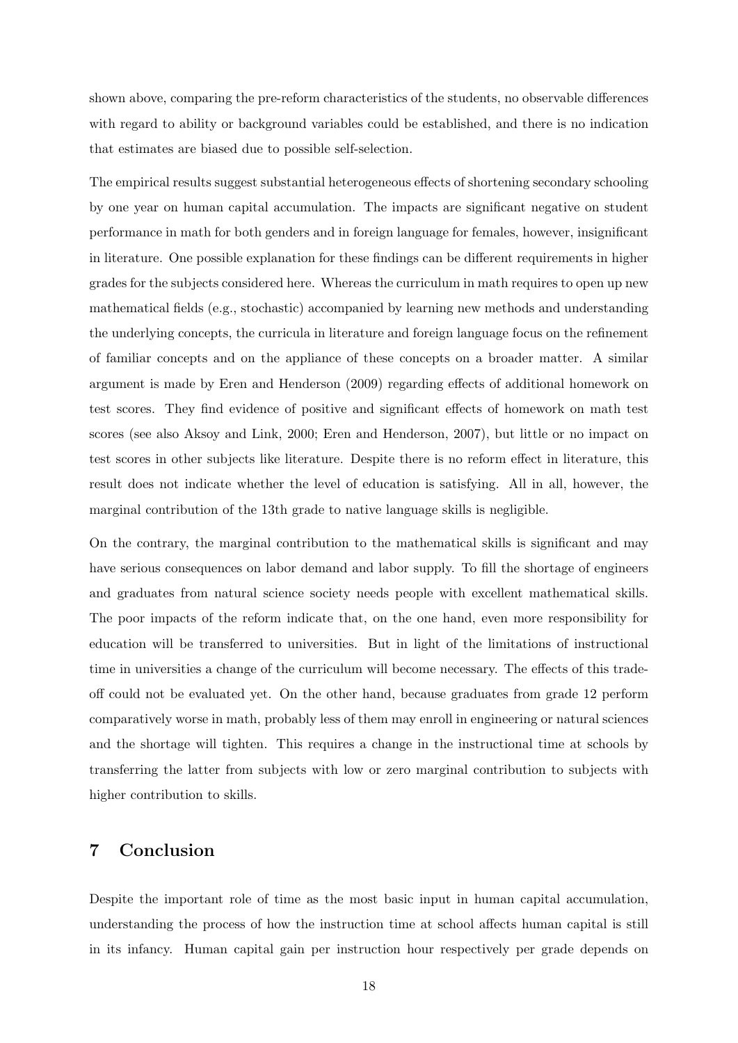shown above, comparing the pre-reform characteristics of the students, no observable differences with regard to ability or background variables could be established, and there is no indication that estimates are biased due to possible self-selection.

The empirical results suggest substantial heterogeneous effects of shortening secondary schooling by one year on human capital accumulation. The impacts are significant negative on student performance in math for both genders and in foreign language for females, however, insignificant in literature. One possible explanation for these findings can be different requirements in higher grades for the subjects considered here. Whereas the curriculum in math requires to open up new mathematical fields (e.g., stochastic) accompanied by learning new methods and understanding the underlying concepts, the curricula in literature and foreign language focus on the refinement of familiar concepts and on the appliance of these concepts on a broader matter. A similar argument is made by Eren and Henderson (2009) regarding effects of additional homework on test scores. They find evidence of positive and significant effects of homework on math test scores (see also Aksoy and Link, 2000; Eren and Henderson, 2007), but little or no impact on test scores in other subjects like literature. Despite there is no reform effect in literature, this result does not indicate whether the level of education is satisfying. All in all, however, the marginal contribution of the 13th grade to native language skills is negligible.

On the contrary, the marginal contribution to the mathematical skills is significant and may have serious consequences on labor demand and labor supply. To fill the shortage of engineers and graduates from natural science society needs people with excellent mathematical skills. The poor impacts of the reform indicate that, on the one hand, even more responsibility for education will be transferred to universities. But in light of the limitations of instructional time in universities a change of the curriculum will become necessary. The effects of this tradeoff could not be evaluated yet. On the other hand, because graduates from grade 12 perform comparatively worse in math, probably less of them may enroll in engineering or natural sciences and the shortage will tighten. This requires a change in the instructional time at schools by transferring the latter from subjects with low or zero marginal contribution to subjects with higher contribution to skills.

## 7 Conclusion

Despite the important role of time as the most basic input in human capital accumulation, understanding the process of how the instruction time at school affects human capital is still in its infancy. Human capital gain per instruction hour respectively per grade depends on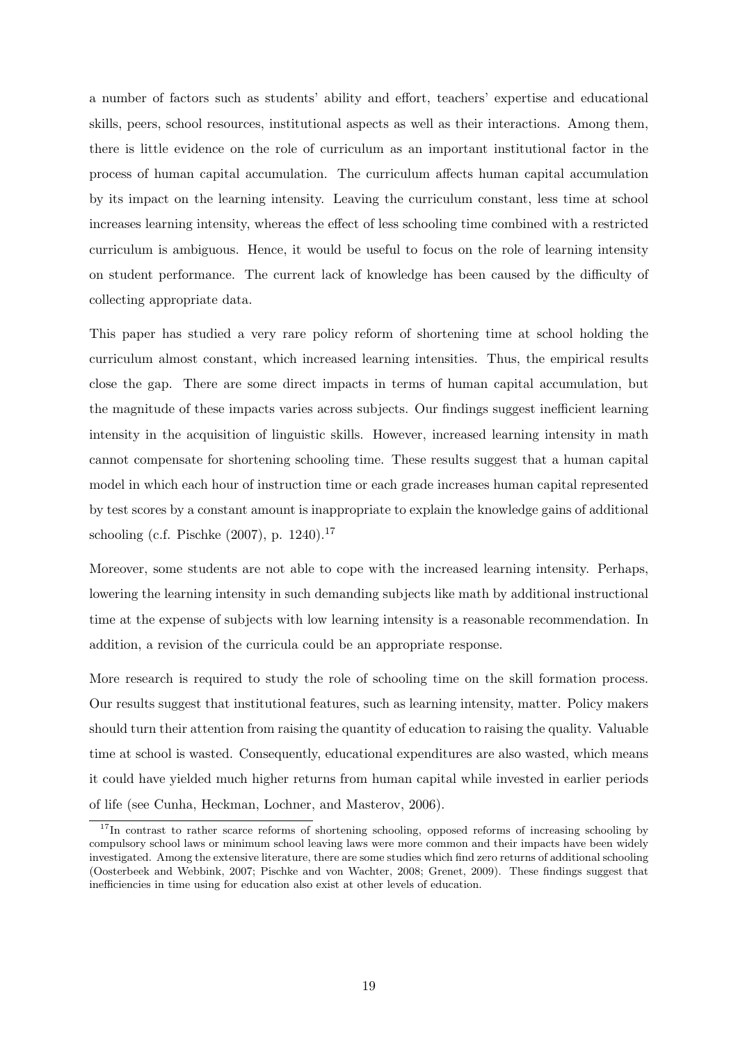a number of factors such as students' ability and effort, teachers' expertise and educational skills, peers, school resources, institutional aspects as well as their interactions. Among them, there is little evidence on the role of curriculum as an important institutional factor in the process of human capital accumulation. The curriculum affects human capital accumulation by its impact on the learning intensity. Leaving the curriculum constant, less time at school increases learning intensity, whereas the effect of less schooling time combined with a restricted curriculum is ambiguous. Hence, it would be useful to focus on the role of learning intensity on student performance. The current lack of knowledge has been caused by the difficulty of collecting appropriate data.

This paper has studied a very rare policy reform of shortening time at school holding the curriculum almost constant, which increased learning intensities. Thus, the empirical results close the gap. There are some direct impacts in terms of human capital accumulation, but the magnitude of these impacts varies across subjects. Our findings suggest inefficient learning intensity in the acquisition of linguistic skills. However, increased learning intensity in math cannot compensate for shortening schooling time. These results suggest that a human capital model in which each hour of instruction time or each grade increases human capital represented by test scores by a constant amount is inappropriate to explain the knowledge gains of additional schooling (c.f. Pischke  $(2007)$ , p. 1240).<sup>17</sup>

Moreover, some students are not able to cope with the increased learning intensity. Perhaps, lowering the learning intensity in such demanding subjects like math by additional instructional time at the expense of subjects with low learning intensity is a reasonable recommendation. In addition, a revision of the curricula could be an appropriate response.

More research is required to study the role of schooling time on the skill formation process. Our results suggest that institutional features, such as learning intensity, matter. Policy makers should turn their attention from raising the quantity of education to raising the quality. Valuable time at school is wasted. Consequently, educational expenditures are also wasted, which means it could have yielded much higher returns from human capital while invested in earlier periods of life (see Cunha, Heckman, Lochner, and Masterov, 2006).

<sup>&</sup>lt;sup>17</sup>In contrast to rather scarce reforms of shortening schooling, opposed reforms of increasing schooling by compulsory school laws or minimum school leaving laws were more common and their impacts have been widely investigated. Among the extensive literature, there are some studies which find zero returns of additional schooling (Oosterbeek and Webbink, 2007; Pischke and von Wachter, 2008; Grenet, 2009). These findings suggest that inefficiencies in time using for education also exist at other levels of education.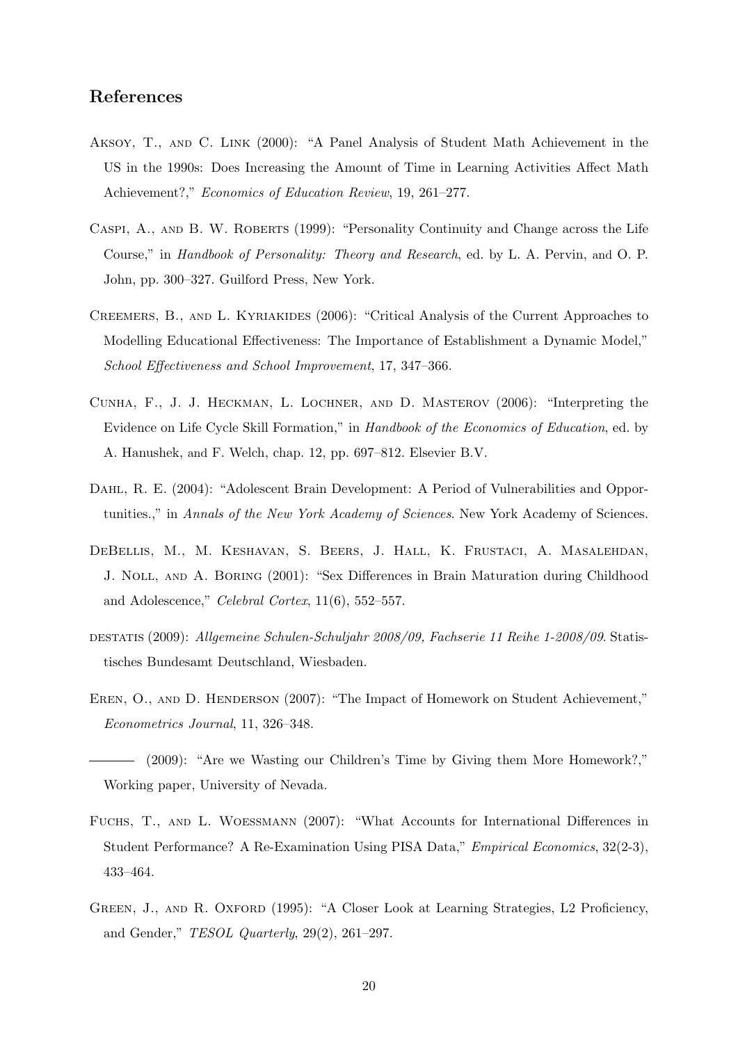## References

- Aksoy, T., and C. Link (2000): "A Panel Analysis of Student Math Achievement in the US in the 1990s: Does Increasing the Amount of Time in Learning Activities Affect Math Achievement?," Economics of Education Review, 19, 261–277.
- Caspi, A., and B. W. Roberts (1999): "Personality Continuity and Change across the Life Course," in Handbook of Personality: Theory and Research, ed. by L. A. Pervin, and O. P. John, pp. 300–327. Guilford Press, New York.
- Creemers, B., and L. Kyriakides (2006): "Critical Analysis of the Current Approaches to Modelling Educational Effectiveness: The Importance of Establishment a Dynamic Model," School Effectiveness and School Improvement, 17, 347–366.
- Cunha, F., J. J. Heckman, L. Lochner, and D. Masterov (2006): "Interpreting the Evidence on Life Cycle Skill Formation," in Handbook of the Economics of Education, ed. by A. Hanushek, and F. Welch, chap. 12, pp. 697–812. Elsevier B.V.
- DAHL, R. E. (2004): "Adolescent Brain Development: A Period of Vulnerabilities and Opportunities.," in Annals of the New York Academy of Sciences. New York Academy of Sciences.
- DeBellis, M., M. Keshavan, S. Beers, J. Hall, K. Frustaci, A. Masalehdan, J. Noll, and A. Boring (2001): "Sex Differences in Brain Maturation during Childhood and Adolescence," Celebral Cortex, 11(6), 552–557.
- destatis (2009): Allgemeine Schulen-Schuljahr 2008/09, Fachserie 11 Reihe 1-2008/09. Statistisches Bundesamt Deutschland, Wiesbaden.
- EREN, O., AND D. HENDERSON (2007): "The Impact of Homework on Student Achievement," Econometrics Journal, 11, 326–348.
- (2009): "Are we Wasting our Children's Time by Giving them More Homework?," Working paper, University of Nevada.
- Fuchs, T., and L. Woessmann (2007): "What Accounts for International Differences in Student Performance? A Re-Examination Using PISA Data," Empirical Economics, 32(2-3), 433–464.
- GREEN, J., AND R. OXFORD (1995): "A Closer Look at Learning Strategies, L2 Proficiency, and Gender,"  $TESOL$  Quarterly, 29(2), 261-297.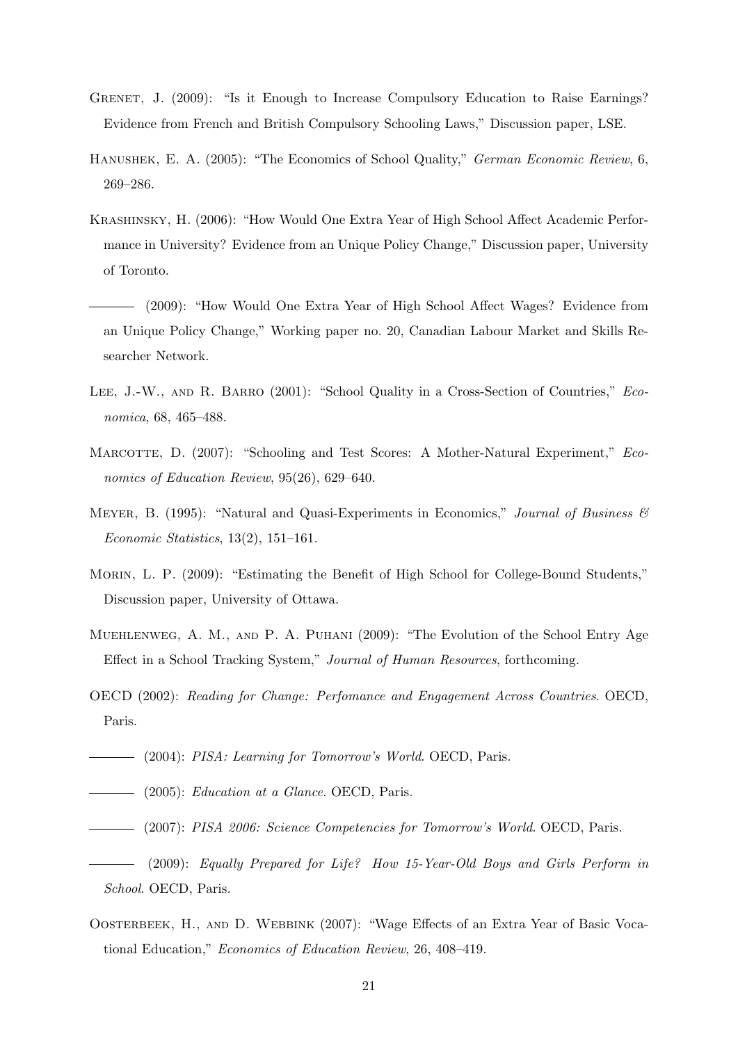- GRENET, J. (2009): "Is it Enough to Increase Compulsory Education to Raise Earnings? Evidence from French and British Compulsory Schooling Laws," Discussion paper, LSE.
- Hanushek, E. A. (2005): "The Economics of School Quality," German Economic Review, 6, 269–286.
- Krashinsky, H. (2006): "How Would One Extra Year of High School Affect Academic Performance in University? Evidence from an Unique Policy Change," Discussion paper, University of Toronto.
- (2009): "How Would One Extra Year of High School Affect Wages? Evidence from an Unique Policy Change," Working paper no. 20, Canadian Labour Market and Skills Researcher Network.
- LEE, J.-W., AND R. BARRO (2001): "School Quality in a Cross-Section of Countries," *Eco*nomica, 68, 465–488.
- MARCOTTE, D. (2007): "Schooling and Test Scores: A Mother-Natural Experiment," Economics of Education Review, 95(26), 629–640.
- MEYER, B. (1995): "Natural and Quasi-Experiments in Economics," Journal of Business  $\mathcal{B}$ Economic Statistics, 13(2), 151–161.
- MORIN, L. P. (2009): "Estimating the Benefit of High School for College-Bound Students," Discussion paper, University of Ottawa.
- Muehlenweg, A. M., and P. A. Puhani (2009): "The Evolution of the School Entry Age Effect in a School Tracking System," Journal of Human Resources, forthcoming.
- OECD (2002): Reading for Change: Perfomance and Engagement Across Countries. OECD, Paris.
- (2004): PISA: Learning for Tomorrow's World. OECD, Paris.
- (2005): Education at a Glance. OECD, Paris.
- (2007): PISA 2006: Science Competencies for Tomorrow's World. OECD, Paris.
- (2009): Equally Prepared for Life? How 15-Year-Old Boys and Girls Perform in School. OECD, Paris.
- OOSTERBEEK, H., AND D. WEBBINK (2007): "Wage Effects of an Extra Year of Basic Vocational Education," Economics of Education Review, 26, 408–419.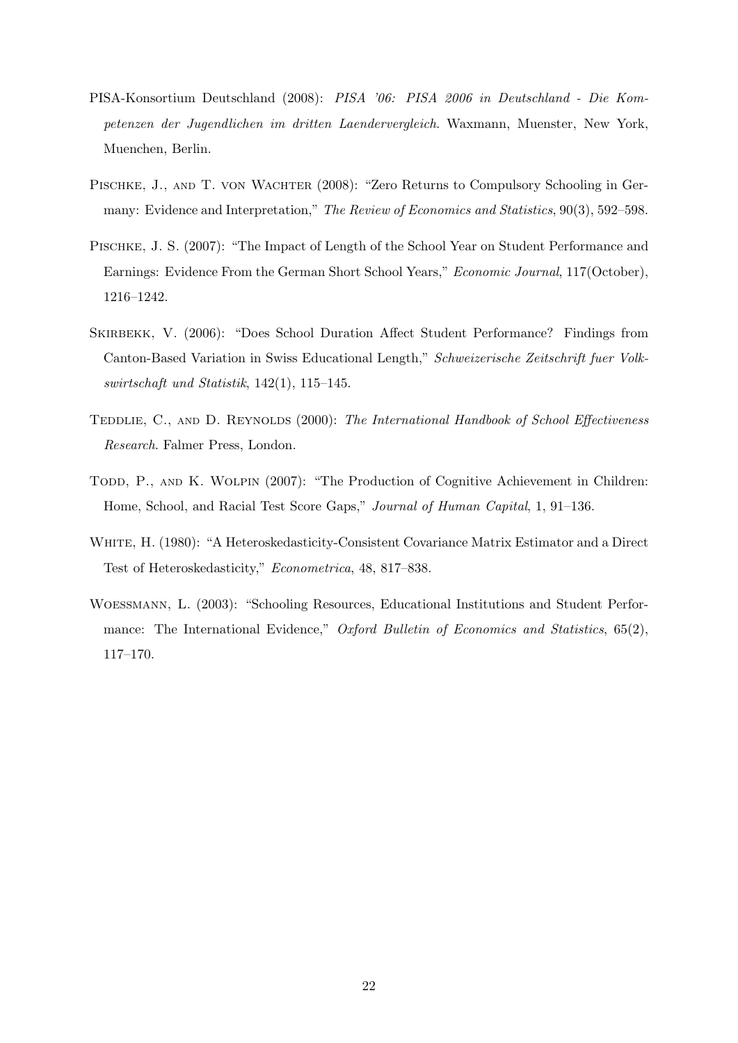- PISA-Konsortium Deutschland (2008): PISA '06: PISA 2006 in Deutschland Die Kompetenzen der Jugendlichen im dritten Laendervergleich. Waxmann, Muenster, New York, Muenchen, Berlin.
- PISCHKE, J., AND T. VON WACHTER (2008): "Zero Returns to Compulsory Schooling in Germany: Evidence and Interpretation," The Review of Economics and Statistics, 90(3), 592–598.
- Pischke, J. S. (2007): "The Impact of Length of the School Year on Student Performance and Earnings: Evidence From the German Short School Years," Economic Journal, 117(October), 1216–1242.
- Skirbekk, V. (2006): "Does School Duration Affect Student Performance? Findings from Canton-Based Variation in Swiss Educational Length," Schweizerische Zeitschrift fuer Volkswirtschaft und Statistik, 142(1), 115–145.
- TEDDLIE, C., AND D. REYNOLDS (2000): The International Handbook of School Effectiveness Research. Falmer Press, London.
- TODD, P., AND K. WOLPIN (2007): "The Production of Cognitive Achievement in Children: Home, School, and Racial Test Score Gaps," Journal of Human Capital, 1, 91–136.
- White, H. (1980): "A Heteroskedasticity-Consistent Covariance Matrix Estimator and a Direct Test of Heteroskedasticity," Econometrica, 48, 817–838.
- Woessmann, L. (2003): "Schooling Resources, Educational Institutions and Student Performance: The International Evidence," Oxford Bulletin of Economics and Statistics,  $65(2)$ , 117–170.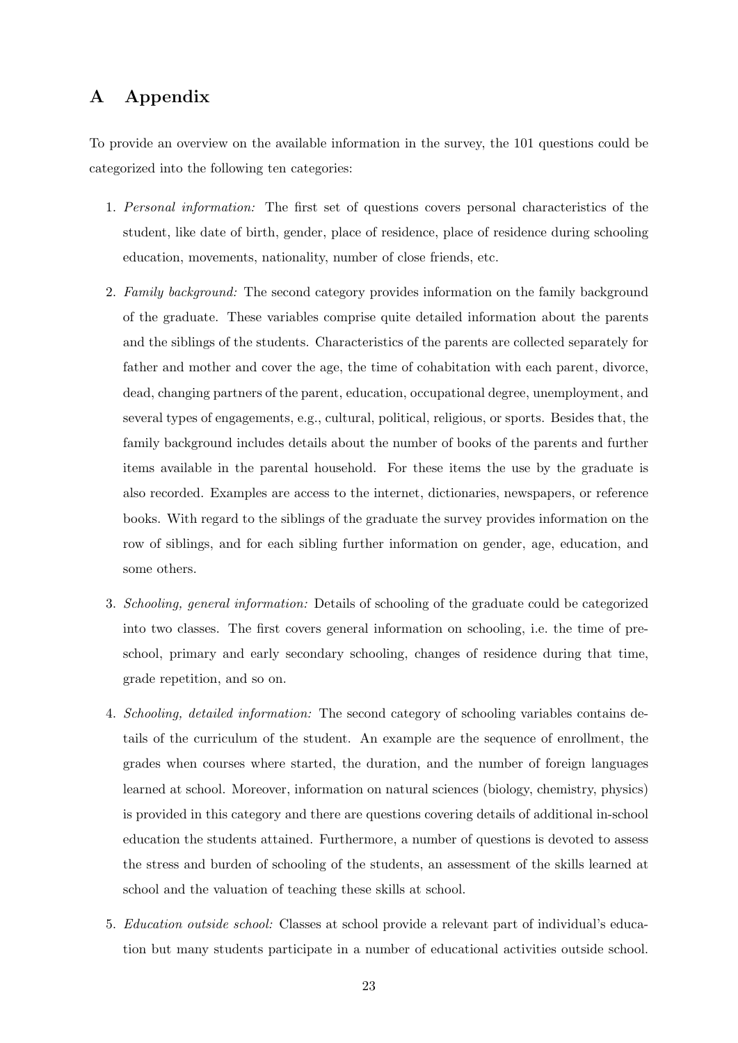## A Appendix

To provide an overview on the available information in the survey, the 101 questions could be categorized into the following ten categories:

- 1. Personal information: The first set of questions covers personal characteristics of the student, like date of birth, gender, place of residence, place of residence during schooling education, movements, nationality, number of close friends, etc.
- 2. Family background: The second category provides information on the family background of the graduate. These variables comprise quite detailed information about the parents and the siblings of the students. Characteristics of the parents are collected separately for father and mother and cover the age, the time of cohabitation with each parent, divorce, dead, changing partners of the parent, education, occupational degree, unemployment, and several types of engagements, e.g., cultural, political, religious, or sports. Besides that, the family background includes details about the number of books of the parents and further items available in the parental household. For these items the use by the graduate is also recorded. Examples are access to the internet, dictionaries, newspapers, or reference books. With regard to the siblings of the graduate the survey provides information on the row of siblings, and for each sibling further information on gender, age, education, and some others.
- 3. Schooling, general information: Details of schooling of the graduate could be categorized into two classes. The first covers general information on schooling, i.e. the time of preschool, primary and early secondary schooling, changes of residence during that time, grade repetition, and so on.
- 4. Schooling, detailed information: The second category of schooling variables contains details of the curriculum of the student. An example are the sequence of enrollment, the grades when courses where started, the duration, and the number of foreign languages learned at school. Moreover, information on natural sciences (biology, chemistry, physics) is provided in this category and there are questions covering details of additional in-school education the students attained. Furthermore, a number of questions is devoted to assess the stress and burden of schooling of the students, an assessment of the skills learned at school and the valuation of teaching these skills at school.
- 5. Education outside school: Classes at school provide a relevant part of individual's education but many students participate in a number of educational activities outside school.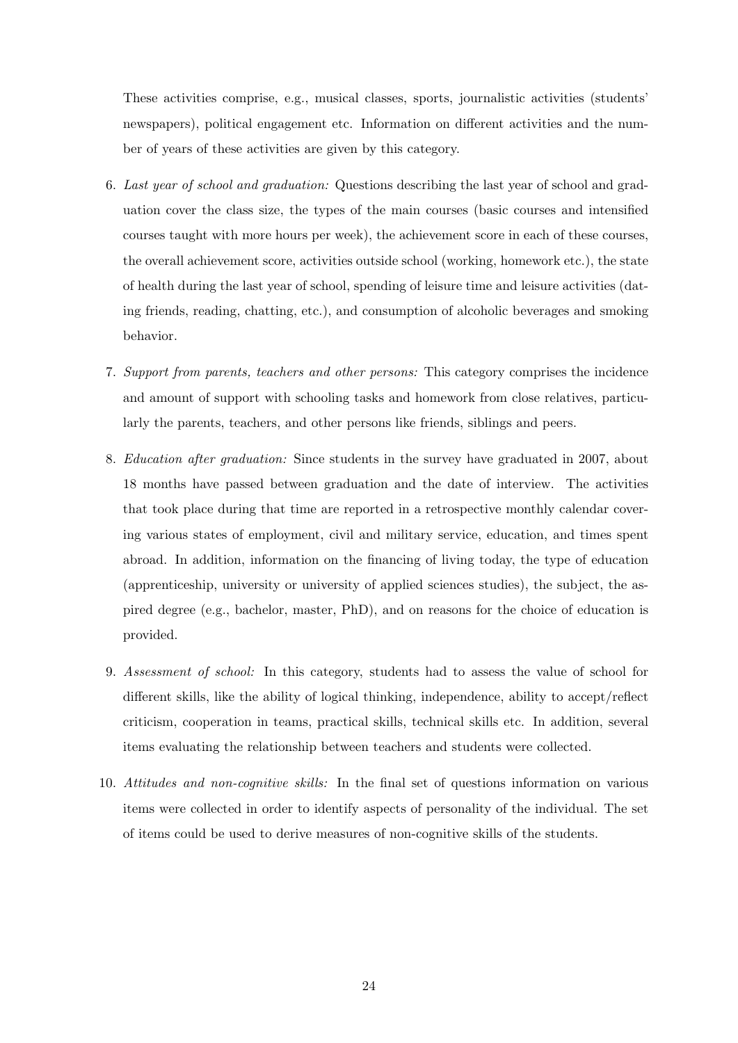These activities comprise, e.g., musical classes, sports, journalistic activities (students' newspapers), political engagement etc. Information on different activities and the number of years of these activities are given by this category.

- 6. Last year of school and graduation: Questions describing the last year of school and graduation cover the class size, the types of the main courses (basic courses and intensified courses taught with more hours per week), the achievement score in each of these courses, the overall achievement score, activities outside school (working, homework etc.), the state of health during the last year of school, spending of leisure time and leisure activities (dating friends, reading, chatting, etc.), and consumption of alcoholic beverages and smoking behavior.
- 7. Support from parents, teachers and other persons: This category comprises the incidence and amount of support with schooling tasks and homework from close relatives, particularly the parents, teachers, and other persons like friends, siblings and peers.
- 8. Education after graduation: Since students in the survey have graduated in 2007, about 18 months have passed between graduation and the date of interview. The activities that took place during that time are reported in a retrospective monthly calendar covering various states of employment, civil and military service, education, and times spent abroad. In addition, information on the financing of living today, the type of education (apprenticeship, university or university of applied sciences studies), the subject, the aspired degree (e.g., bachelor, master, PhD), and on reasons for the choice of education is provided.
- 9. Assessment of school: In this category, students had to assess the value of school for different skills, like the ability of logical thinking, independence, ability to accept/reflect criticism, cooperation in teams, practical skills, technical skills etc. In addition, several items evaluating the relationship between teachers and students were collected.
- 10. Attitudes and non-cognitive skills: In the final set of questions information on various items were collected in order to identify aspects of personality of the individual. The set of items could be used to derive measures of non-cognitive skills of the students.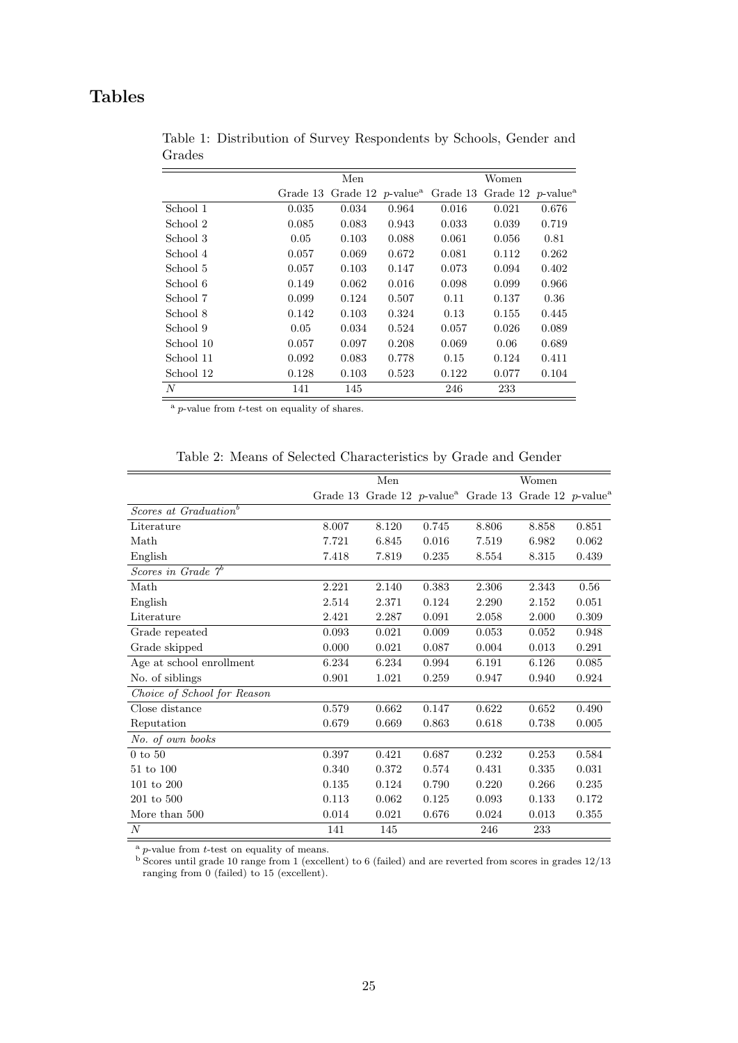# Tables

|           |          | Men   |       |                                                                                                    | Women |       |
|-----------|----------|-------|-------|----------------------------------------------------------------------------------------------------|-------|-------|
|           | Grade 13 |       |       | Grade 12 <i>p</i> -value <sup><i>a</i></sup> Grade 13 Grade 12 <i>p</i> -value <sup><i>a</i></sup> |       |       |
| School 1  | 0.035    | 0.034 | 0.964 | 0.016                                                                                              | 0.021 | 0.676 |
| School 2  | 0.085    | 0.083 | 0.943 | 0.033                                                                                              | 0.039 | 0.719 |
| School 3  | 0.05     | 0.103 | 0.088 | 0.061                                                                                              | 0.056 | 0.81  |
| School 4  | 0.057    | 0.069 | 0.672 | 0.081                                                                                              | 0.112 | 0.262 |
| School 5  | 0.057    | 0.103 | 0.147 | 0.073                                                                                              | 0.094 | 0.402 |
| School 6  | 0.149    | 0.062 | 0.016 | 0.098                                                                                              | 0.099 | 0.966 |
| School 7  | 0.099    | 0.124 | 0.507 | 0.11                                                                                               | 0.137 | 0.36  |
| School 8  | 0.142    | 0.103 | 0.324 | 0.13                                                                                               | 0.155 | 0.445 |
| School 9  | 0.05     | 0.034 | 0.524 | 0.057                                                                                              | 0.026 | 0.089 |
| School 10 | 0.057    | 0.097 | 0.208 | 0.069                                                                                              | 0.06  | 0.689 |
| School 11 | 0.092    | 0.083 | 0.778 | 0.15                                                                                               | 0.124 | 0.411 |
| School 12 | 0.128    | 0.103 | 0.523 | 0.122                                                                                              | 0.077 | 0.104 |
| N         | 141      | 145   |       | 246                                                                                                | 233   |       |

Table 1: Distribution of Survey Respondents by Schools, Gender and Grades

 $a$  *p*-value from  $t$ -test on equality of shares.

|                                   |          | Men   |       |                                                                      | Women |       |
|-----------------------------------|----------|-------|-------|----------------------------------------------------------------------|-------|-------|
|                                   | Grade 13 |       |       | Grade 12 p-value <sup>a</sup> Grade 13 Grade 12 p-value <sup>a</sup> |       |       |
| Scores at Graduation <sup>b</sup> |          |       |       |                                                                      |       |       |
| Literature                        | 8.007    | 8.120 | 0.745 | 8.806                                                                | 8.858 | 0.851 |
| Math                              | 7.721    | 6.845 | 0.016 | 7.519                                                                | 6.982 | 0.062 |
| English                           | 7.418    | 7.819 | 0.235 | 8.554                                                                | 8.315 | 0.439 |
| Scores in Grade $\gamma^b$        |          |       |       |                                                                      |       |       |
| Math                              | 2.221    | 2.140 | 0.383 | 2.306                                                                | 2.343 | 0.56  |
| English                           | 2.514    | 2.371 | 0.124 | 2.290                                                                | 2.152 | 0.051 |
| Literature                        | 2.421    | 2.287 | 0.091 | 2.058                                                                | 2.000 | 0.309 |
| Grade repeated                    | 0.093    | 0.021 | 0.009 | 0.053                                                                | 0.052 | 0.948 |
| Grade skipped                     | 0.000    | 0.021 | 0.087 | 0.004                                                                | 0.013 | 0.291 |
| Age at school enrollment          | 6.234    | 6.234 | 0.994 | 6.191                                                                | 6.126 | 0.085 |
| No. of siblings                   | 0.901    | 1.021 | 0.259 | 0.947                                                                | 0.940 | 0.924 |
| Choice of School for Reason       |          |       |       |                                                                      |       |       |
| Close distance                    | 0.579    | 0.662 | 0.147 | 0.622                                                                | 0.652 | 0.490 |
| Reputation                        | 0.679    | 0.669 | 0.863 | 0.618                                                                | 0.738 | 0.005 |
| No. of own books                  |          |       |       |                                                                      |       |       |
| $0$ to $50$                       | 0.397    | 0.421 | 0.687 | 0.232                                                                | 0.253 | 0.584 |
| 51 to 100                         | 0.340    | 0.372 | 0.574 | 0.431                                                                | 0.335 | 0.031 |
| 101 to 200                        | 0.135    | 0.124 | 0.790 | 0.220                                                                | 0.266 | 0.235 |
| 201 to 500                        | 0.113    | 0.062 | 0.125 | 0.093                                                                | 0.133 | 0.172 |
| More than 500                     | 0.014    | 0.021 | 0.676 | 0.024                                                                | 0.013 | 0.355 |
| $\overline{N}$                    | 141      | 145   |       | 246                                                                  | 233   |       |

Table 2: Means of Selected Characteristics by Grade and Gender

 $a$ <sup>a</sup> p-value from  $t$ -test on equality of means.

 $<sup>b</sup>$  Scores until grade 10 range from 1 (excellent) to 6 (failed) and are reverted from scores in grades  $12/13$ </sup> ranging from 0 (failed) to 15 (excellent).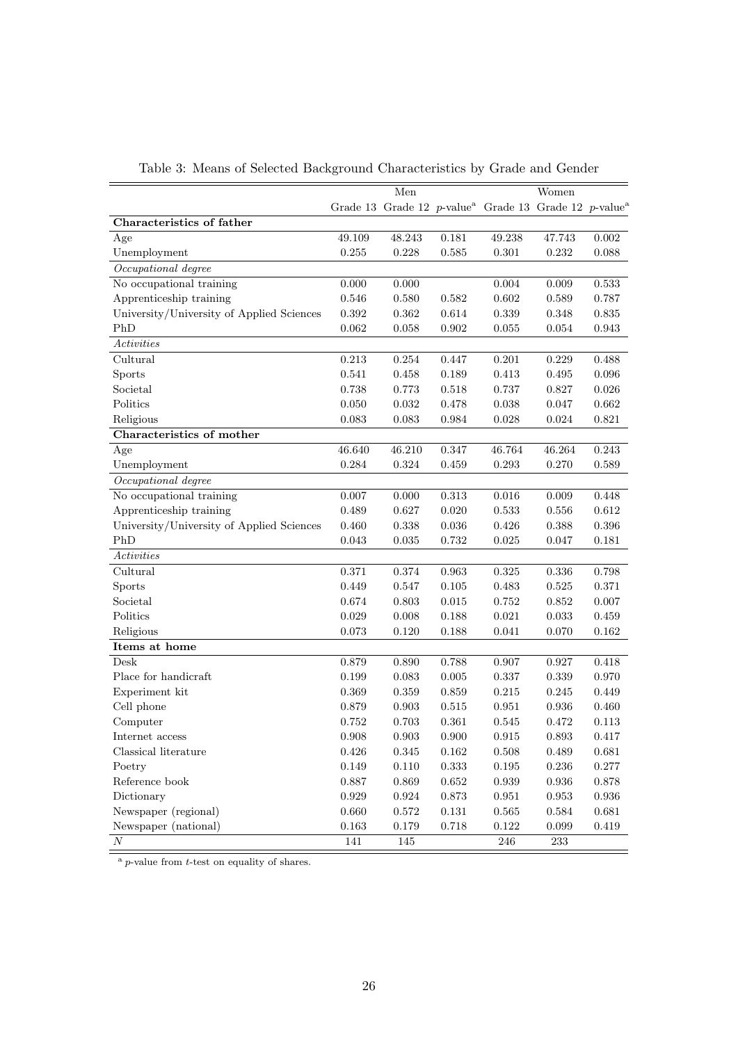|                                           |           | Men         |             |                                                                               | Women       |             |
|-------------------------------------------|-----------|-------------|-------------|-------------------------------------------------------------------------------|-------------|-------------|
|                                           |           |             |             | Grade 13 Grade 12 p-value <sup>a</sup> Grade 13 Grade 12 p-value <sup>a</sup> |             |             |
| Characteristics of father                 |           |             |             |                                                                               |             |             |
| Age                                       | 49.109    | 48.243      | 0.181       | 49.238                                                                        | 47.743      | 0.002       |
| Unemployment                              | 0.255     | 0.228       | 0.585       | 0.301                                                                         | 0.232       | 0.088       |
| Occupational degree                       |           |             |             |                                                                               |             |             |
| No occupational training                  | 0.000     | 0.000       |             | 0.004                                                                         | 0.009       | 0.533       |
| Apprenticeship training                   | 0.546     | 0.580       | 0.582       | 0.602                                                                         | 0.589       | 0.787       |
| University/University of Applied Sciences | 0.392     | 0.362       | 0.614       | 0.339                                                                         | 0.348       | 0.835       |
| PhD                                       | 0.062     | 0.058       | 0.902       | 0.055                                                                         | 0.054       | $\,0.943\,$ |
| Activities                                |           |             |             |                                                                               |             |             |
| Cultural                                  | 0.213     | 0.254       | 0.447       | 0.201                                                                         | 0.229       | 0.488       |
| Sports                                    | 0.541     | 0.458       | 0.189       | 0.413                                                                         | 0.495       | 0.096       |
| Societal                                  | 0.738     | 0.773       | 0.518       | 0.737                                                                         | 0.827       | 0.026       |
| Politics                                  | 0.050     | 0.032       | 0.478       | 0.038                                                                         | 0.047       | 0.662       |
| Religious                                 | 0.083     | 0.083       | $\,0.984\,$ | 0.028                                                                         | 0.024       | 0.821       |
| Characteristics of mother                 |           |             |             |                                                                               |             |             |
| Age                                       | 46.640    | 46.210      | 0.347       | 46.764                                                                        | 46.264      | 0.243       |
| Unemployment                              | 0.284     | 0.324       | 0.459       | 0.293                                                                         | 0.270       | 0.589       |
| Occupational degree                       |           |             |             |                                                                               |             |             |
| No occupational training                  | 0.007     | 0.000       | 0.313       | 0.016                                                                         | 0.009       | 0.448       |
| Apprenticeship training                   | 0.489     | 0.627       | 0.020       | 0.533                                                                         | 0.556       | 0.612       |
| University/University of Applied Sciences | 0.460     | 0.338       | 0.036       | 0.426                                                                         | 0.388       | 0.396       |
| PhD                                       | 0.043     | 0.035       | 0.732       | 0.025                                                                         | 0.047       | 0.181       |
| Activities                                |           |             |             |                                                                               |             |             |
| Cultural                                  | 0.371     | 0.374       | 0.963       | 0.325                                                                         | 0.336       | 0.798       |
| Sports                                    | 0.449     | 0.547       | 0.105       | 0.483                                                                         | 0.525       | 0.371       |
| Societal                                  | 0.674     | 0.803       | 0.015       | 0.752                                                                         | 0.852       | $0.007\,$   |
| Politics                                  | 0.029     | 0.008       | 0.188       | 0.021                                                                         | 0.033       | 0.459       |
| Religious                                 | 0.073     | 0.120       | 0.188       | 0.041                                                                         | 0.070       | $\,0.162\,$ |
| Items at home                             |           |             |             |                                                                               |             |             |
| Desk                                      | 0.879     | 0.890       | 0.788       | 0.907                                                                         | 0.927       | 0.418       |
| Place for handicraft                      | 0.199     | 0.083       | 0.005       | 0.337                                                                         | 0.339       | 0.970       |
| Experiment kit                            | 0.369     | 0.359       | 0.859       | 0.215                                                                         | 0.245       | 0.449       |
| Cell phone                                | 0.879     | 0.903       | 0.515       | 0.951                                                                         | 0.936       | 0.460       |
| Computer                                  | 0.752     | 0.703       | 0.361       | 0.545                                                                         | 0.472       | 0.113       |
| Internet access                           | $0.908\,$ | 0.903       | $0.900\,$   | 0.915                                                                         | $\,0.893\,$ | 0.417       |
| Classical literature                      | $0.426\,$ | 0.345       | 0.162       | 0.508                                                                         | 0.489       | 0.681       |
| Poetry                                    | $0.149\,$ | $0.110\,$   | $\,0.333\,$ | $0.195\,$                                                                     | $0.236\,$   | $0.277\,$   |
| Reference book                            | 0.887     | $\,0.869\,$ | $\,0.652\,$ | $\,0.939\,$                                                                   | 0.936       | $0.878\,$   |
| Dictionary                                | 0.929     | $\,0.924\,$ | $0.873\,$   | 0.951                                                                         | $\,0.953\,$ | $\,0.936\,$ |
| Newspaper (regional)                      | 0.660     | 0.572       | $0.131\,$   | 0.565                                                                         | 0.584       | $\,0.681\,$ |
| Newspaper (national)                      | 0.163     | 0.179       | $0.718\,$   | 0.122                                                                         | 0.099       | $0.419\,$   |
| $\cal N$                                  | 141       | 145         |             | 246                                                                           | 233         |             |

Table 3: Means of Selected Background Characteristics by Grade and Gender

 $a$  *p*-value from *t*-test on equality of shares.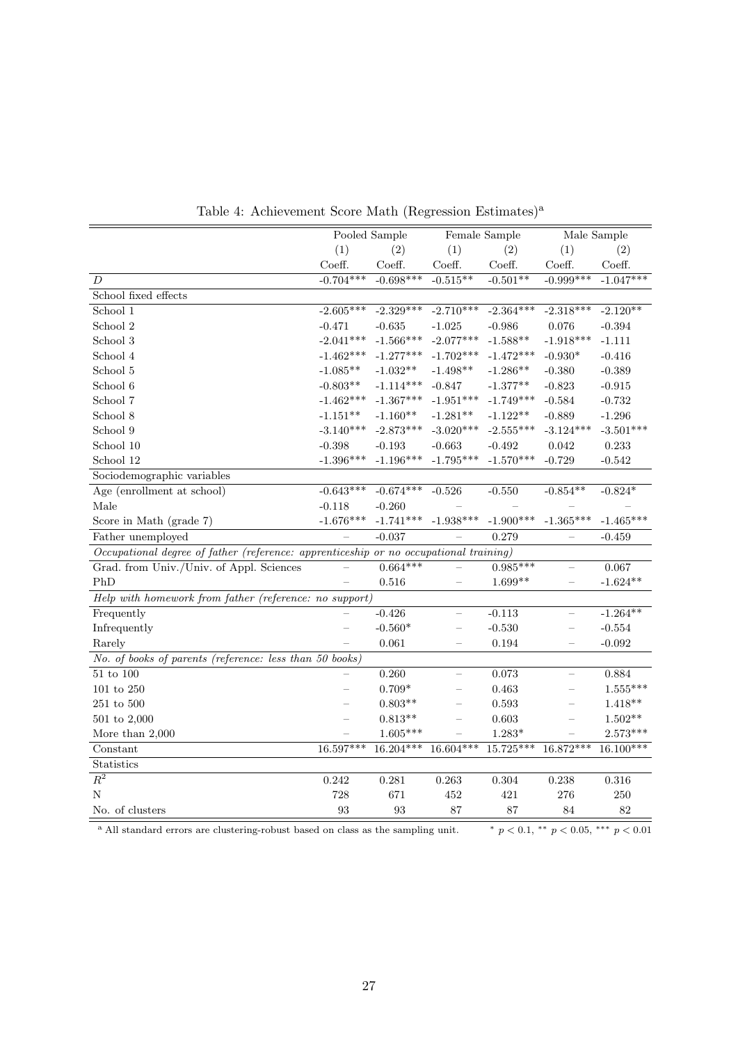|                                                                                       |             | Pooled Sample | Female Sample            |             |                          | Male Sample     |
|---------------------------------------------------------------------------------------|-------------|---------------|--------------------------|-------------|--------------------------|-----------------|
|                                                                                       | (1)         | (2)           | (1)                      | (2)         | (1)                      | (2)             |
|                                                                                       | Coeff.      | Coeff.        | Coeff.                   | Coeff.      | Coeff.                   | Coeff.          |
| D                                                                                     | $-0.704***$ | $-0.698***$   | $-0.515**$               | $-0.501**$  | $-0.999***$              | $-1.047***$     |
| School fixed effects                                                                  |             |               |                          |             |                          |                 |
| School 1                                                                              | $-2.605***$ | $-2.329***$   | $-2.710***$              | $-2.364***$ | $-2.318***$              | $-2.120**$      |
| School 2                                                                              | $-0.471$    | $-0.635$      | $-1.025$                 | $-0.986$    | 0.076                    | $-0.394$        |
| School 3                                                                              | $-2.041***$ | $-1.566***$   | $-2.077***$              | $-1.588**$  | $-1.918***$              | $-1.111$        |
| School 4                                                                              | $-1.462***$ | $-1.277***$   | $-1.702***$              | $-1.472***$ | $-0.930*$                | $-0.416$        |
| School 5                                                                              | $-1.085**$  | $-1.032**$    | $-1.498**$               | $-1.286**$  | $-0.380$                 | $-0.389$        |
| School 6                                                                              | $-0.803**$  | $-1.114***$   | $-0.847$                 | $-1.377**$  | $-0.823$                 | $-0.915$        |
| School 7                                                                              | $-1.462***$ | $-1.367***$   | $-1.951***$              | $-1.749***$ | $-0.584$                 | $-0.732$        |
| School 8                                                                              | $-1.151**$  | $-1.160**$    | $-1.281**$               | $-1.122**$  | $-0.889$                 | $-1.296$        |
| School 9                                                                              | $-3.140***$ | $-2.873***$   | $-3.020***$              | $-2.555***$ | $-3.124***$              | $-3.501***$     |
| School 10                                                                             | $-0.398$    | $-0.193$      | $-0.663$                 | $-0.492$    | 0.042                    | $\rm 0.233$     |
| School 12                                                                             | $-1.396***$ | $-1.196***$   | $-1.795***$              | $-1.570***$ | $-0.729$                 | $-0.542$        |
| Sociodemographic variables                                                            |             |               |                          |             |                          |                 |
| Age (enrollment at school)                                                            | $-0.643***$ | $-0.674***$   | $-0.526$                 | $-0.550$    | $-0.854**$               | $-0.824*$       |
| Male                                                                                  | $-0.118$    | $-0.260$      |                          |             |                          |                 |
| Score in Math (grade 7)                                                               | $-1.676***$ | $-1.741***$   | $-1.938***$              | $-1.900***$ | $-1.365***$              | $-1.465***$     |
| Father unemployed                                                                     |             | $-0.037$      |                          | 0.279       |                          | $-0.459$        |
| Occupational degree of father (reference: apprenticeship or no occupational training) |             |               |                          |             |                          |                 |
| Grad. from Univ./Univ. of Appl. Sciences                                              |             | $0.664***$    |                          | $0.985***$  |                          | 0.067           |
| PhD                                                                                   |             | 0.516         |                          | $1.699**$   |                          | $-1.624**$      |
| Help with homework from father (reference: no support)                                |             |               |                          |             |                          |                 |
| Frequently                                                                            |             | $-0.426$      |                          | $-0.113$    |                          | $-1.264**$      |
| Infrequently                                                                          |             | $-0.560*$     |                          | $-0.530$    |                          | $-0.554$        |
| Rarely                                                                                |             | 0.061         |                          | 0.194       | $\overline{\phantom{0}}$ | $-0.092$        |
| No. of books of parents (reference: less than 50 books)                               |             |               |                          |             |                          |                 |
| $51$ to $100\,$                                                                       |             | 0.260         | $\equiv$                 | 0.073       |                          | 0.884           |
| 101 to 250                                                                            |             | $0.709*$      | $\overline{\phantom{0}}$ | 0.463       |                          | $1.555***$      |
| $251$ to $500\,$                                                                      |             | $0.803**$     |                          | 0.593       |                          | $1.418**$       |
| $501$ to $2,\!000$                                                                    |             | $0.813**$     | $\overline{\phantom{0}}$ | 0.603       |                          | $1.502^{*\ast}$ |
| More than $2,000$                                                                     |             | $1.605***$    |                          | $1.283*$    |                          | $2.573***$      |
| Constant                                                                              | $16.597***$ | $16.204***$   | $16.604***$              | $15.725***$ | $16.872***$              | $16.100***$     |
| <b>Statistics</b>                                                                     |             |               |                          |             |                          |                 |
| $R^2$                                                                                 | 0.242       | 0.281         | 0.263                    | $0.304\,$   | 0.238                    | $0.316\,$       |
| N                                                                                     | 728         | 671           | 452                      | 421         | 276                      | 250             |
| No. of clusters                                                                       | 93          | 93            | 87                       | 87          | 84                       | 82              |

Table 4: Achievement Score Math (Regression Estimates)<sup>a</sup>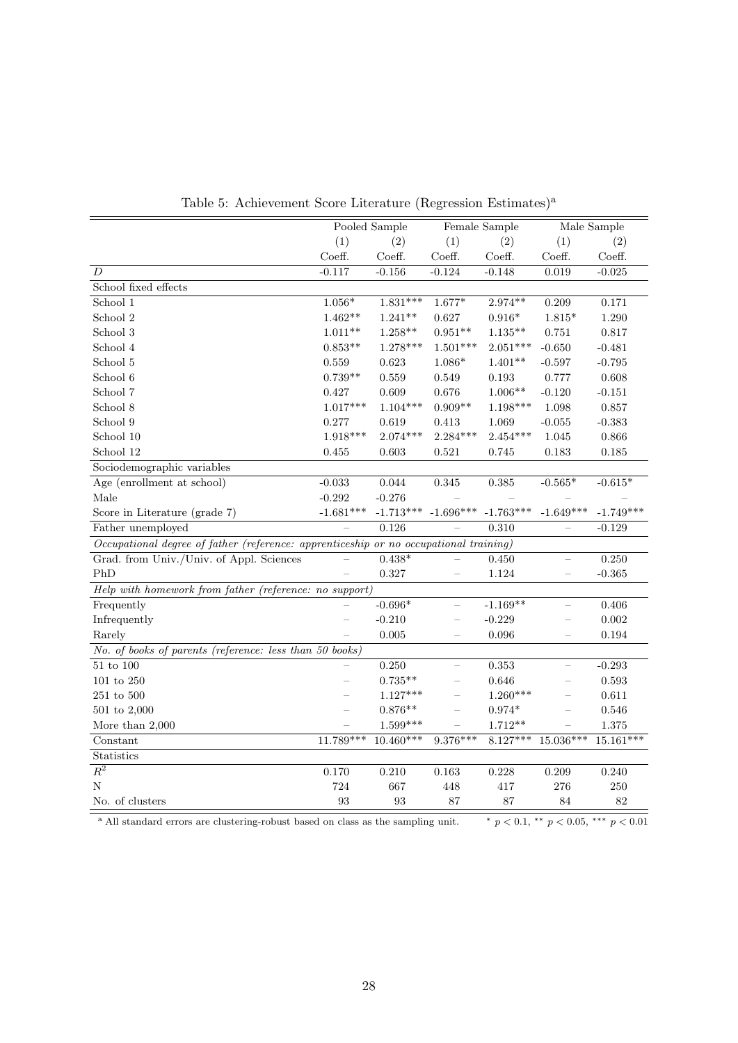|                                                                                       |                | Pooled Sample | Female Sample            |                |                          | Male Sample |
|---------------------------------------------------------------------------------------|----------------|---------------|--------------------------|----------------|--------------------------|-------------|
|                                                                                       | (1)            | (2)           | (1)                      | (2)            | (1)                      | (2)         |
|                                                                                       | Coeff.         | Coeff.        | Coeff.                   | Coeff.         | Coeff.                   | Coeff.      |
| $\boldsymbol{D}$                                                                      | $-0.117$       | $-0.156$      | $-0.124$                 | $-0.148$       | $\,0.019\,$              | $-0.025$    |
| School fixed effects                                                                  |                |               |                          |                |                          |             |
| School 1                                                                              | $1.056^{\ast}$ | $1.831***$    | $1.677*$                 | $2.974**$      | 0.209                    | 0.171       |
| School 2                                                                              | $1.462**$      | $1.241**$     | 0.627                    | $0.916^{\ast}$ | $1.815*$                 | 1.290       |
| School 3                                                                              | $1.011**$      | $1.258**$     | $0.951**$                | $1.135***$     | 0.751                    | 0.817       |
| School 4                                                                              | $0.853**$      | $1.278***$    | $1.501***$               | $2.051***$     | $-0.650$                 | $-0.481$    |
| School 5                                                                              | 0.559          | 0.623         | $1.086*$                 | $1.401**$      | $-0.597$                 | $-0.795$    |
| School 6                                                                              | $0.739**$      | 0.559         | 0.549                    | 0.193          | 0.777                    | 0.608       |
| School 7                                                                              | 0.427          | 0.609         | 0.676                    | $1.006**$      | $-0.120$                 | $-0.151$    |
| School 8                                                                              | $1.017***$     | $1.104***$    | $0.909**$                | 1.198***       | 1.098                    | 0.857       |
| School 9                                                                              | 0.277          | 0.619         | 0.413                    | 1.069          | $-0.055$                 | $-0.383$    |
| School 10                                                                             | $1.918***$     | $2.074***$    | $2.284***$               | $2.454***$     | 1.045                    | 0.866       |
| School 12                                                                             | 0.455          | 0.603         | 0.521                    | 0.745          | 0.183                    | 0.185       |
| Sociodemographic variables                                                            |                |               |                          |                |                          |             |
| Age (enrollment at school)                                                            | $-0.033$       | 0.044         | 0.345                    | $\,0.385\,$    | $-0.565*$                | $-0.615*$   |
| Male                                                                                  | $-0.292$       | $-0.276$      |                          |                |                          |             |
| Score in Literature (grade 7)                                                         | $-1.681***$    | $-1.713***$   | $-1.696***$              | $-1.763***$    | $-1.649***$              | $-1.749***$ |
| Father unemployed                                                                     |                | 0.126         |                          | 0.310          |                          | $-0.129$    |
| Occupational degree of father (reference: apprenticeship or no occupational training) |                |               |                          |                |                          |             |
| Grad. from Univ./Univ. of Appl. Sciences                                              |                | $0.438*$      |                          | 0.450          | $\frac{1}{2}$            | 0.250       |
| PhD                                                                                   |                | 0.327         |                          | 1.124          |                          | $-0.365$    |
| Help with homework from father (reference: no support)                                |                |               |                          |                |                          |             |
| Frequently                                                                            |                | $-0.696*$     |                          | $-1.169**$     |                          | 0.406       |
| Infrequently                                                                          |                | $-0.210$      |                          | $-0.229$       |                          | 0.002       |
| Rarely                                                                                |                | 0.005         |                          | 0.096          |                          | 0.194       |
| No. of books of parents (reference: less than 50 books)                               |                |               |                          |                |                          |             |
| $\overline{51}$ to $\overline{100}$                                                   |                | 0.250         | $\overline{\phantom{m}}$ | 0.353          | $\overline{\phantom{0}}$ | $-0.293$    |
| $101$ to $250\,$                                                                      |                | $0.735**$     | $\equiv$                 | 0.646          | $\overline{\phantom{0}}$ | 0.593       |
| $251$ to $500\,$                                                                      |                | $1.127***$    | -                        | $1.260***$     |                          | 0.611       |
| $501$ to $2,000$                                                                      |                | $0.876**$     |                          | $0.974*$       |                          | 0.546       |
| More than $2,000$                                                                     |                | $1.599***$    | $=$                      | $1.712**$      |                          | $1.375\,$   |
| Constant                                                                              | $11.789***$    | $10.460***$   | $9.376***$               | $8.127***$     | $15.036***$              | $15.161***$ |
| $\begin{minipage}{.4\linewidth} Statistics \end{minipage}$                            |                |               |                          |                |                          |             |
| $R^2$                                                                                 | 0.170          | 0.210         | 0.163                    | 0.228          | 0.209                    | 0.240       |
| N                                                                                     | 724            | 667           | 448                      | 417            | 276                      | 250         |
| No. of clusters                                                                       | 93             | 93            | 87                       | 87             | 84                       | 82          |

Table 5: Achievement Score Literature (Regression Estimates)<sup>a</sup>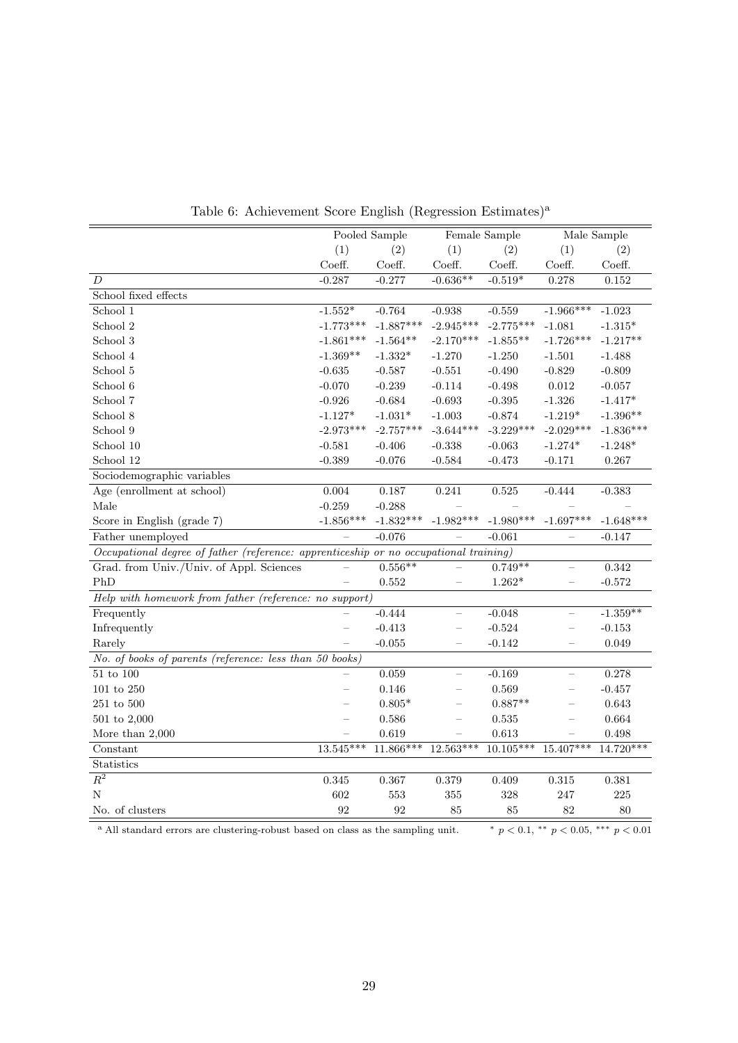|                                                                                       | Pooled Sample             |             | Female Sample            |             |                          | Male Sample |
|---------------------------------------------------------------------------------------|---------------------------|-------------|--------------------------|-------------|--------------------------|-------------|
|                                                                                       | (1)                       | (2)         | (1)                      | (2)         | (1)                      | (2)         |
|                                                                                       | Coeff.                    | Coeff.      | Coeff.                   | Coeff.      | Coeff.                   | Coeff.      |
| $\boldsymbol{D}$                                                                      | $-0.287$                  | $-0.277$    | $-0.636**$               | $-0.519*$   | 0.278                    | $\rm 0.152$ |
| School fixed effects                                                                  |                           |             |                          |             |                          |             |
| School 1                                                                              | $\textnormal{-}1.552^{*}$ | $-0.764$    | $-0.938$                 | $-0.559$    | $-1.966***$              | $-1.023$    |
| School 2                                                                              | $-1.773***$               | $-1.887***$ | $-2.945***$              | $-2.775***$ | $-1.081$                 | $-1.315*$   |
| School 3                                                                              | $-1.861***$               | $-1.564**$  | $-2.170***$              | $-1.855***$ | $-1.726***$              | $-1.217**$  |
| School 4                                                                              | $-1.369**$                | $-1.332*$   | $-1.270$                 | $-1.250$    | $-1.501$                 | $-1.488$    |
| School $5\,$                                                                          | $-0.635$                  | $-0.587$    | $-0.551$                 | $-0.490$    | $-0.829$                 | $-0.809$    |
| School 6                                                                              | $-0.070$                  | $-0.239$    | $-0.114$                 | $-0.498$    | $\,0.012\,$              | $-0.057$    |
| School 7                                                                              | $-0.926$                  | $-0.684$    | $-0.693$                 | $-0.395$    | $-1.326$                 | $-1.417*$   |
| School 8                                                                              | $-1.127*$                 | $-1.031*$   | $-1.003$                 | $-0.874$    | $-1.219*$                | $-1.396**$  |
| School 9                                                                              | $-2.973***$               | $-2.757***$ | $-3.644***$              | $-3.229***$ | $-2.029***$              | $-1.836***$ |
| School 10                                                                             | $-0.581$                  | $-0.406$    | $-0.338$                 | $-0.063$    | $-1.274*$                | $-1.248*$   |
| School 12                                                                             | $-0.389$                  | $-0.076$    | $-0.584$                 | $-0.473$    | $-0.171$                 | 0.267       |
| Sociodemographic variables                                                            |                           |             |                          |             |                          |             |
| Age (enrollment at school)                                                            | $0.004\,$                 | 0.187       | 0.241                    | $\,0.525\,$ | $-0.444$                 | $-0.383$    |
| Male                                                                                  | $-0.259$                  | $-0.288$    |                          |             |                          |             |
| Score in English (grade 7)                                                            | $-1.856***$               | $-1.832***$ | $-1.982***$              | $-1.980***$ | $-1.697***$              | $-1.648***$ |
| Father unemployed                                                                     |                           | $-0.076$    |                          | $-0.061$    |                          | $-0.147$    |
| Occupational degree of father (reference: apprenticeship or no occupational training) |                           |             |                          |             |                          |             |
| Grad. from Univ./Univ. of Appl. Sciences                                              |                           | $0.556***$  |                          | $0.749**$   |                          | 0.342       |
| PhD                                                                                   |                           | $\,0.552\,$ |                          | $1.262*$    |                          | $-0.572$    |
| Help with homework from father (reference: no support)                                |                           |             |                          |             |                          |             |
| Frequently                                                                            |                           | $-0.444$    | L,                       | $-0.048$    | $\overline{\phantom{0}}$ | $-1.359**$  |
| Infrequently                                                                          |                           | $-0.413$    | $\overline{\phantom{0}}$ | $-0.524$    |                          | $-0.153$    |
| Rarely                                                                                |                           | $-0.055$    | $\overline{\phantom{0}}$ | $-0.142$    | $\qquad \qquad -$        | 0.049       |
| No. of books of parents (reference: less than 50 books)                               |                           |             |                          |             |                          |             |
| $51$ to $100\,$                                                                       |                           | 0.059       | <u>.</u>                 | $-0.169$    | $\equiv$                 | 0.278       |
| $101$ to $250\,$                                                                      |                           | 0.146       |                          | 0.569       |                          | $-0.457$    |
| $251$ to $500\,$                                                                      |                           | $0.805*$    | $\overline{\phantom{0}}$ | $0.887**$   |                          | $\,0.643\,$ |
| $501$ to $2,000$                                                                      | $\overline{\phantom{0}}$  | 0.586       | $\equiv$                 | $\,0.535\,$ | $\qquad \qquad -$        | $\,0.664\,$ |
| More than $2,000$                                                                     |                           | 0.619       |                          | $\,0.613\,$ |                          | 0.498       |
| Constant                                                                              | $13.545***$               | $11.866***$ | $12.563***$              | $10.105***$ | $15.407***$              | $14.720***$ |
| Statistics                                                                            |                           |             |                          |             |                          |             |
| $R^2$                                                                                 | $0.345\,$                 | 0.367       | 0.379                    | 0.409       | $0.315\,$                | 0.381       |
| N                                                                                     | 602                       | 553         | 355                      | 328         | 247                      | $225\,$     |
| No. of clusters                                                                       | 92                        | 92          | 85                       | 85          | 82                       | 80          |

Table 6: Achievement Score English (Regression Estimates)<sup>a</sup>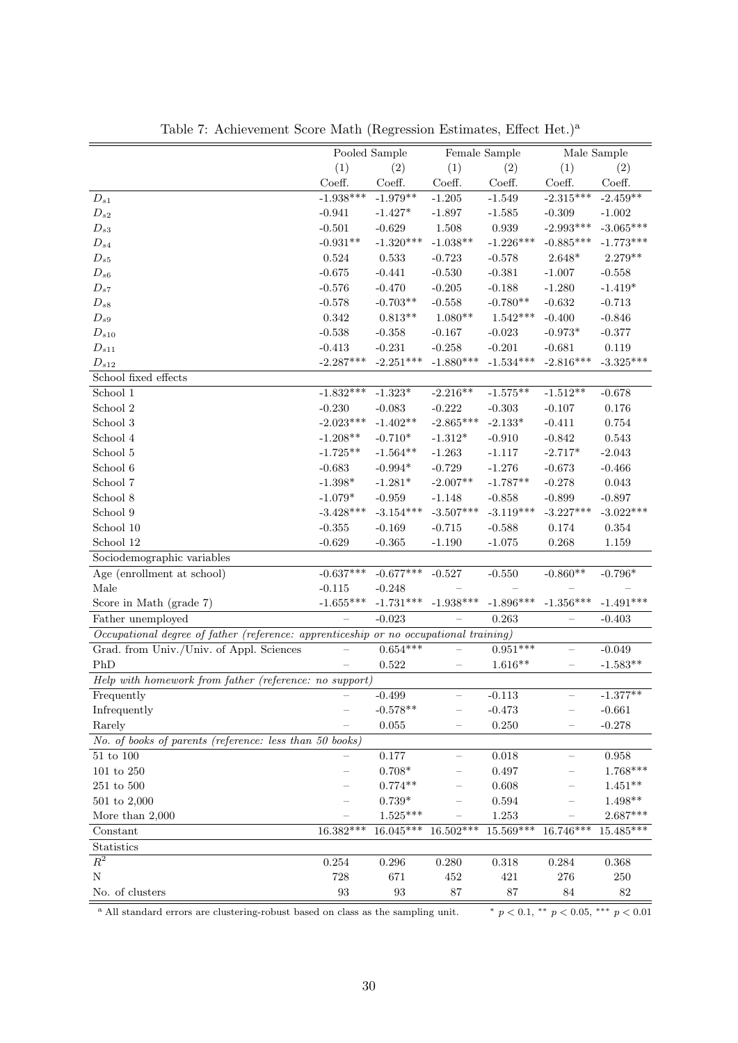|                                                                                       |                   | Pooled Sample |             | Female Sample |                          | Male Sample |
|---------------------------------------------------------------------------------------|-------------------|---------------|-------------|---------------|--------------------------|-------------|
|                                                                                       |                   |               |             |               |                          |             |
|                                                                                       | (1)               | (2)           | (1)         | (2)           | (1)                      | (2)         |
|                                                                                       | Coeff.            | Coeff.        | Coeff.      | Coeff.        | Coeff.                   | Coeff.      |
| $\mathcal{D}_{s1}$                                                                    | $-1.938***$       | $-1.979**$    | $-1.205$    | $-1.549$      | $-2.315***$              | $-2.459**$  |
| $D_{s2}$                                                                              | $-0.941$          | $-1.427*$     | $-1.897$    | $-1.585$      | $-0.309$                 | $-1.002$    |
| $D_{s3}$                                                                              | $-0.501$          | $-0.629$      | 1.508       | 0.939         | $-2.993***$              | $-3.065***$ |
| $D_{s4}$                                                                              | $-0.931**$        | $-1.320***$   | $-1.038**$  | $-1.226***$   | $-0.885***$              | $-1.773***$ |
| $D_{s5}$                                                                              | 0.524             | 0.533         | $-0.723$    | $-0.578$      | $2.648*$                 | $2.279**$   |
| $D_{s6}$                                                                              | $-0.675$          | $-0.441$      | $-0.530$    | $-0.381$      | $-1.007$                 | $-0.558$    |
| $D_{s7}$                                                                              | $-0.576$          | $-0.470$      | $-0.205$    | $-0.188$      | $-1.280$                 | $-1.419*$   |
| $D_{s8}$                                                                              | $-0.578$          | $-0.703**$    | $-0.558$    | $-0.780**$    | $-0.632$                 | $-0.713$    |
| $D_{s9}$                                                                              | $\,0.342\,$       | $0.813**$     | $1.080**$   | $1.542***$    | $-0.400$                 | $-0.846$    |
| $D_{s10}$                                                                             | $-0.538$          | $-0.358$      | $-0.167$    | $-0.023$      | $-0.973*$                | $-0.377$    |
| $D_{s11}$                                                                             | $-0.413$          | $-0.231$      | $-0.258$    | $-0.201$      | $-0.681$                 | 0.119       |
| $D_{s12}$                                                                             | $-2.287***$       | $-2.251***$   | $-1.880***$ | $-1.534***$   | $-2.816***$              | $-3.325***$ |
| School fixed effects                                                                  |                   |               |             |               |                          |             |
| School 1                                                                              | $-1.832***$       | $-1.323*$     | $-2.216**$  | $-1.575**$    | $-1.512**$               | $-0.678$    |
| School $2\,$                                                                          | $-0.230$          | $-0.083$      | $-0.222$    | $-0.303$      | $-0.107$                 | 0.176       |
| School 3                                                                              | $-2.023***$       | $-1.402**$    | $-2.865***$ | $-2.133*$     | $-0.411$                 | 0.754       |
| School 4                                                                              | $-1.208**$        | $-0.710*$     | $-1.312*$   | $-0.910$      | $-0.842$                 | 0.543       |
| School 5                                                                              | $-1.725**$        | $-1.564**$    | $-1.263$    | $-1.117$      | $-2.717*$                | $-2.043$    |
| School 6                                                                              | $-0.683$          | $-0.994*$     | $-0.729$    | $-1.276$      | $-0.673$                 | $-0.466$    |
| School 7                                                                              | $-1.398*$         | $-1.281*$     | $-2.007**$  | $-1.787**$    | $-0.278$                 | $\,0.043\,$ |
| School 8                                                                              | $-1.079*$         | $-0.959$      | $-1.148$    | $-0.858$      | $-0.899$                 | $-0.897$    |
| School 9                                                                              | $-3.428***$       | $-3.154***$   | $-3.507***$ | $-3.119***$   | $-3.227***$              | $-3.022***$ |
| School 10                                                                             | $-0.355$          | $-0.169$      | $-0.715$    | $-0.588$      | 0.174                    | 0.354       |
| School 12                                                                             | $-0.629$          | $-0.365$      | $-1.190$    | $-1.075$      | 0.268                    | 1.159       |
|                                                                                       |                   |               |             |               |                          |             |
| Sociodemographic variables                                                            |                   |               |             |               |                          |             |
| Age (enrollment at school)                                                            | $-0.637***$       | $-0.677***$   | $-0.527$    | $-0.550$      | $-0.860**$               | $-0.796*$   |
| Male                                                                                  | $-0.115$          | $-0.248$      |             |               |                          |             |
| Score in Math (grade 7)                                                               | $-1.655***$       | $-1.731***$   | $-1.938***$ | $-1.896***$   | $-1.356***$              | $-1.491***$ |
| Father unemployed                                                                     |                   | $-0.023$      |             | 0.263         |                          | $-0.403$    |
| Occupational degree of father (reference: apprenticeship or no occupational training) |                   |               |             |               |                          |             |
| Grad. from Univ./Univ. of Appl. Sciences                                              |                   | $0.654***$    |             | $0.951***$    | -                        | $-0.049$    |
| PhD                                                                                   |                   | 0.522         | —           | $1.616**$     | $\overline{\phantom{0}}$ | $-1.583**$  |
| Help with homework from father (reference: no support)                                |                   |               |             |               |                          |             |
| Frequently                                                                            |                   | $-0.499$      |             | $-0.113$      |                          | $-1.377**$  |
| Infrequently                                                                          |                   | $-0.578**$    |             | $-0.473$      |                          | $-0.661$    |
| Rarely                                                                                |                   | $0.055\,$     |             | 0.250         |                          | $-0.278$    |
| No. of books of parents (reference: less than 50 books)                               |                   |               |             |               |                          |             |
| $51$ to $100\,$                                                                       |                   | $0.177\,$     |             | 0.018         |                          | 0.958       |
| $101$ to $250\,$                                                                      |                   | $0.708*$      |             | 0.497         |                          | $1.768***$  |
| $251$ to $500\,$                                                                      |                   | $0.774**$     |             | 0.608         |                          | $1.451**$   |
| $501$ to $2,000$                                                                      |                   | $0.739*$      |             | 0.594         |                          | $1.498**$   |
| More than $2,000$                                                                     |                   | $1.525***$    |             | 1.253         |                          | $2.687***$  |
| Constant                                                                              | $16.382***$       | $16.045***$   | 16.502***   | $15.569***$   | 16.746***                | $15.485***$ |
| Statistics                                                                            |                   |               |             |               |                          |             |
| $R^2$                                                                                 | $0.254\,$         | $0.296\,$     | 0.280       | 0.318         | $0.284\,$                | 0.368       |
| $\mathbf N$                                                                           | 728               |               |             |               | 276                      |             |
|                                                                                       |                   | 671           | 452         | 421           |                          | 250         |
| No. of clusters                                                                       | $\boldsymbol{93}$ | 93            | $87\,$      | $87\,$        | $\bf 84$                 | $82\,$      |

| Table 7: Achievement Score Math (Regression Estimates, Effect Het.) <sup>a</sup> |  |  |  |
|----------------------------------------------------------------------------------|--|--|--|
|----------------------------------------------------------------------------------|--|--|--|

<sup>a</sup> All standard errors are clustering-robust based on class as the sampling unit.  $\frac{*}{p} < 0.1, \frac{*}{p} < 0.05, \frac{*}{p} < 0.01$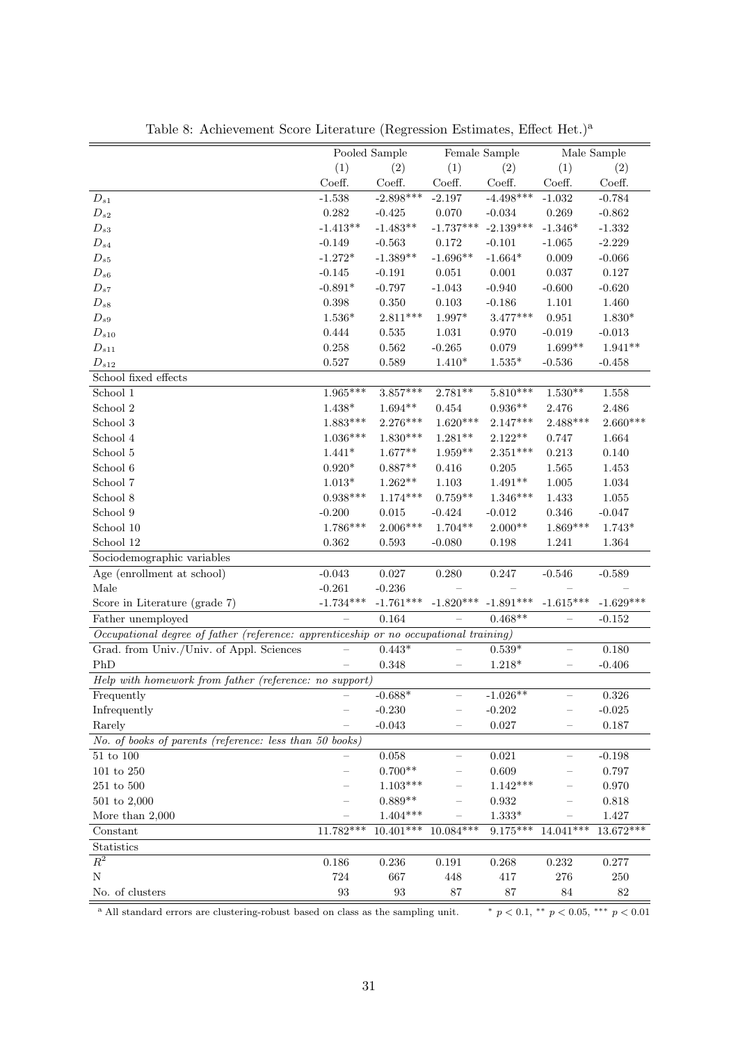|                                                                                       |                   | Pooled Sample     | Female Sample            |                |                          | Male Sample |
|---------------------------------------------------------------------------------------|-------------------|-------------------|--------------------------|----------------|--------------------------|-------------|
|                                                                                       | (1)               | (2)               | (1)                      | (2)            | (1)                      | (2)         |
|                                                                                       | Coeff.            | Coeff.            | Coeff.                   | Coeff.         | Coeff.                   | Coeff.      |
| $D_{s1}$                                                                              | $-1.538$          | $-2.898***$       | $-2.197$                 | $-4.498***$    | $-1.032$                 | $-0.784$    |
| $D_{s2}$                                                                              | 0.282             | $-0.425$          | 0.070                    | $-0.034$       | 0.269                    | $-0.862$    |
| $D_{s3}$                                                                              | $-1.413**$        | $-1.483**$        | $-1.737***$              | $-2.139***$    | $-1.346*$                | $-1.332$    |
| $D_{s4}$                                                                              | $-0.149$          | $-0.563$          | 0.172                    | $-0.101$       | $-1.065$                 | $-2.229$    |
| $D_{s5}$                                                                              | $-1.272*$         | $-1.389**$        | $-1.696**$               | $-1.664*$      | $0.009\,$                | $-0.066$    |
| $D_{s6}$                                                                              | $-0.145$          | $-0.191$          | $0.051\,$                | 0.001          | 0.037                    | $0.127\,$   |
| $D_{s7}$                                                                              | $-0.891*$         | $-0.797$          | $-1.043$                 | $-0.940$       | $-0.600$                 | $-0.620$    |
| $D_{s8}$                                                                              | 0.398             | 0.350             | $\rm 0.103$              | $-0.186$       | 1.101                    | 1.460       |
| $D_{s9}$                                                                              | $1.536*$          | $2.811***$        | $1.997^{\ast}$           | $3.477***$     | 0.951                    | $1.830*$    |
| $D_{s10}$                                                                             | 0.444             | 0.535             | $1.031\,$                | 0.970          | $-0.019$                 | $-0.013$    |
| $D_{s11}$                                                                             | 0.258             | 0.562             | $-0.265$                 | 0.079          | $1.699**$                | $1.941**$   |
| $D_{s12}$                                                                             | 0.527             | 0.589             | $1.410*$                 | $1.535^{\ast}$ | $-0.536$                 | $-0.458$    |
| School fixed effects                                                                  |                   |                   |                          |                |                          |             |
| School 1                                                                              | $1.965***$        | $3.857***$        | $2.781**$                | $5.810***$     | $1.530**$                | $1.558\,$   |
| School 2                                                                              | $1.438*$          | $1.694**$         | 0.454                    | $0.936**$      | 2.476                    | 2.486       |
| School 3                                                                              | $1.883***$        | $2.276***$        | $1.620***$               | $2.147***$     | $2.488***$               | $2.660***$  |
| School 4                                                                              | $1.036***$        | $1.830***$        | $1.281**$                | $2.122**$      | 0.747                    | 1.664       |
| School 5                                                                              | $1.441*$          | $1.677**$         | $1.959**$                | $2.351***$     | 0.213                    | 0.140       |
| School 6                                                                              | $0.920*$          | $0.887**$         | $0.416\,$                | 0.205          | 1.565                    | 1.453       |
| School 7                                                                              | $1.013*$          | $1.262**$         | $1.103\,$                | $1.491**$      | 1.005                    | 1.034       |
| School 8                                                                              | $0.938***$        | $1.174***$        | $0.759**$                | $1.346***$     | 1.433                    | $1.055\,$   |
| School 9                                                                              | $-0.200$          | 0.015             | $-0.424$                 | $-0.012$       | 0.346                    | $-0.047$    |
| School 10                                                                             | $1.786***$        | $2.006***$        | $1.704**$                | $2.000**$      | $1.869***$               | $1.743*$    |
| School 12                                                                             | 0.362             | 0.593             | $-0.080$                 | 0.198          | 1.241                    | $1.364\,$   |
| Sociodemographic variables                                                            |                   |                   |                          |                |                          |             |
| Age (enrollment at school)                                                            | $-0.043$          | 0.027             | $0.280\,$                | $0.247\,$      | $-0.546$                 | $-0.589$    |
| Male                                                                                  | $-0.261$          | $-0.236$          |                          |                |                          |             |
| Score in Literature (grade 7)                                                         | $-1.734***$       | $-1.761***$       | $-1.820***$              | $-1.891***$    | $-1.615***$              | $-1.629***$ |
| Father unemployed                                                                     |                   | 0.164             |                          | $0.468**$      |                          | $-0.152$    |
| Occupational degree of father (reference: apprenticeship or no occupational training) |                   |                   |                          |                |                          |             |
| Grad. from Univ./Univ. of Appl. Sciences                                              |                   | $0.443*$          |                          | $0.539*$       |                          | 0.180       |
| PhD                                                                                   |                   | 0.348             | $\qquad \qquad -$        | $1.218*$       | $\overline{\phantom{0}}$ | $-0.406$    |
| Help with homework from father (reference: no support)                                |                   |                   |                          |                |                          |             |
| Frequently                                                                            |                   | $-0.688*$         |                          | $-1.026**$     |                          | 0.326       |
| Infrequently                                                                          |                   | $-0.230$          |                          | $-0.202$       |                          | $-0.025$    |
| Rarely                                                                                |                   | $-0.043$          |                          | $0.027\,$      |                          | 0.187       |
| No. of books of parents (reference: less than 50 books)                               |                   |                   |                          |                |                          |             |
| $51$ to $100\,$                                                                       |                   | 0.058             |                          | 0.021          |                          | $-0.198$    |
| $101$ to $250\,$                                                                      |                   | $0.700**$         |                          | 0.609          |                          | 0.797       |
| $251$ to $500\,$                                                                      |                   | $1.103***$        |                          | $1.142***$     |                          | 0.970       |
| $501$ to $2,000$                                                                      |                   | $0.889**$         | $\overline{\phantom{0}}$ | 0.932          |                          | 0.818       |
| More than $2,000$                                                                     |                   | $1.404***$        |                          | $1.333^{\ast}$ |                          | $1.427\,$   |
| Constant                                                                              | $11.782***$       | $10.401***$       | $10.084***$              | $9.175***$     | 14.041***                | $13.672***$ |
| Statistics                                                                            |                   |                   |                          |                |                          |             |
| $R^2$                                                                                 | 0.186             | $0.236\,$         | $\,0.191\,$              | $0.268\,$      | $0.232\,$                | $0.277\,$   |
| N                                                                                     | 724               | 667               | 448                      | $417\,$        | $276\,$                  | $250\,$     |
| No. of clusters                                                                       | $\boldsymbol{93}$ | $\boldsymbol{93}$ | 87                       | $87\,$         | 84                       | 82          |
|                                                                                       |                   |                   |                          |                |                          |             |

Table 8: Achievement Score Literature (Regression Estimates, Effect Het.)<sup>a</sup>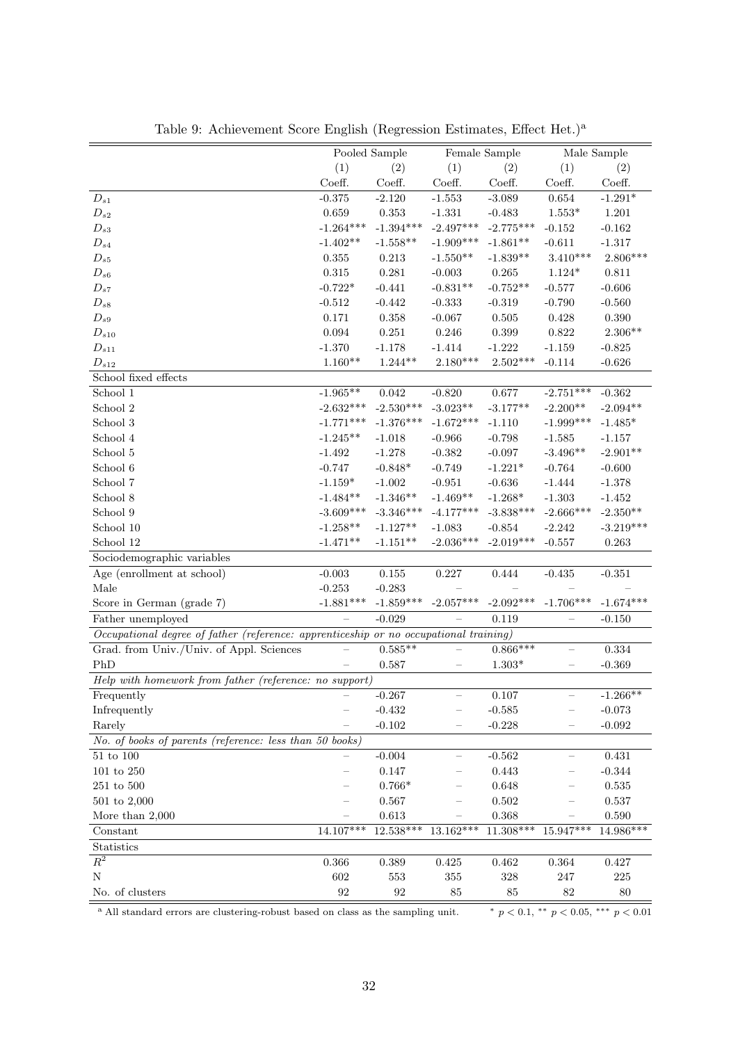|                                                                                       |                   | Pooled Sample     |                          | Female Sample |                          | Male Sample |
|---------------------------------------------------------------------------------------|-------------------|-------------------|--------------------------|---------------|--------------------------|-------------|
|                                                                                       | (1)               | (2)               | (1)                      | (2)           | (1)                      | (2)         |
|                                                                                       | Coeff.            | Coeff.            | Coeff.                   | Coeff.        | Coeff.                   | Coeff.      |
| $D_{s1}$                                                                              | $-0.375$          | $-2.120$          | $-1.553$                 | $-3.089$      | $\,0.654\,$              | $-1.291*$   |
| $D_{s2}$                                                                              | 0.659             | $\,0.353\,$       | $-1.331$                 | $-0.483$      | $1.553*$                 | $1.201\,$   |
| $D_{s3}$                                                                              | $-1.264***$       | $-1.394***$       | $-2.497***$              | $-2.775***$   | $-0.152$                 | $-0.162$    |
| $D_{s4}$                                                                              | $-1.402**$        | $-1.558**$        | $-1.909***$              | $-1.861**$    | $-0.611$                 | $-1.317$    |
| $D_{s5}$                                                                              | 0.355             | 0.213             | $-1.550**$               | $-1.839**$    | $3.410***$               | $2.806***$  |
| $D_{s6}$                                                                              | $0.315\,$         | 0.281             | $-0.003$                 | 0.265         | $1.124*$                 | 0.811       |
| $D_{s7}$                                                                              | $-0.722*$         | $-0.441$          | $-0.831**$               | $-0.752**$    | $-0.577$                 | $-0.606$    |
| $D_{s8}$                                                                              | $-0.512$          | $-0.442$          | $-0.333$                 | $-0.319$      | $-0.790$                 | $-0.560$    |
| $D_{s9}$                                                                              | 0.171             | 0.358             | $-0.067$                 | $0.505\,$     | 0.428                    | 0.390       |
| $D_{s10}$                                                                             | $\,0.094\,$       | 0.251             | 0.246                    | 0.399         | 0.822                    | $2.306**$   |
| $D_{s11}$                                                                             | $-1.370$          | $-1.178$          | $-1.414$                 | $-1.222$      | $-1.159$                 | $-0.825$    |
| ${\cal D}_{s12}$                                                                      | $1.160**$         | $1.244**$         | $2.180***$               | $2.502***$    | $-0.114$                 | $-0.626$    |
| School fixed effects                                                                  |                   |                   |                          |               |                          |             |
| School 1                                                                              | $-1.965***$       | 0.042             | $-0.820$                 | $0.677\,$     | $-2.751***$              | $-0.362$    |
| School 2                                                                              | $-2.632***$       | $-2.530***$       | $-3.023**$               | $-3.177**$    | $-2.200**$               | $-2.094**$  |
| School 3                                                                              | $-1.771***$       | $-1.376***$       | $-1.672***$              | $-1.110$      | $-1.999***$              | $-1.485*$   |
| School 4                                                                              | $-1.245**$        | $-1.018$          | $-0.966$                 | $-0.798$      | $-1.585$                 | $-1.157$    |
| School 5                                                                              | $-1.492$          | $-1.278$          | $-0.382$                 | $-0.097$      | $-3.496**$               | $-2.901**$  |
| School 6                                                                              | $-0.747$          | $-0.848*$         | $-0.749$                 | $-1.221*$     | $-0.764$                 | $-0.600$    |
| School 7                                                                              | $-1.159*$         | $-1.002$          | $-0.951$                 | $-0.636$      | $-1.444$                 | $-1.378$    |
| School 8                                                                              | $-1.484**$        | $-1.346**$        | $-1.469**$               | $-1.268*$     | $-1.303$                 | $-1.452$    |
| School 9                                                                              | $-3.609***$       | $-3.346***$       | $-4.177***$              | $-3.838***$   | $-2.666***$              | $-2.350**$  |
| School 10                                                                             | $-1.258**$        | $-1.127**$        | $-1.083$                 | $-0.854$      | $-2.242$                 | $-3.219***$ |
| School 12                                                                             | $-1.471**$        | $-1.151**$        | $-2.036***$              | $-2.019***$   | $-0.557$                 | 0.263       |
| Sociodemographic variables                                                            |                   |                   |                          |               |                          |             |
| Age (enrollment at school)                                                            | $-0.003$          | 0.155             | 0.227                    | 0.444         | $-0.435$                 | $-0.351$    |
| Male                                                                                  | $-0.253$          | $-0.283$          |                          |               |                          |             |
| Score in German (grade 7)                                                             | $-1.881***$       | $-1.859***$       | $-2.057***$              | $-2.092***$   | $-1.706***$              | $-1.674***$ |
| Father unemployed                                                                     |                   | $-0.029$          |                          | 0.119         |                          | $-0.150$    |
| Occupational degree of father (reference: apprenticeship or no occupational training) |                   |                   |                          |               |                          |             |
| Grad. from Univ./Univ. of Appl. Sciences                                              |                   | $0.585**$         |                          | $0.866***$    | $\equiv$                 | 0.334       |
| PhD                                                                                   |                   | 0.587             | -                        | $1.303*$      | $\overline{\phantom{0}}$ | $-0.369$    |
| Help with homework from father (reference: no support)                                |                   |                   |                          |               |                          |             |
| Frequently                                                                            |                   | $-0.267$          |                          | 0.107         |                          | $-1.266**$  |
| Infrequently                                                                          |                   | $-0.432$          |                          | $-0.585$      |                          | $-0.073$    |
| Rarely                                                                                |                   | $-0.102$          |                          | $-0.228$      |                          | $-0.092$    |
| No. of books of parents (reference: less than 50 books)                               |                   |                   |                          |               |                          |             |
| $51$ to $100\,$                                                                       |                   | $-0.004$          |                          | $-0.562$      |                          | 0.431       |
| $101$ to $250\,$                                                                      |                   | $0.147\,$         |                          | 0.443         |                          | $-0.344$    |
| $251$ to $500\,$                                                                      |                   | $0.766*$          | -                        | 0.648         |                          | 0.535       |
| $501$ to $2,000$                                                                      |                   | $0.567\,$         | $\overline{\phantom{0}}$ | $\,0.502\,$   |                          | 0.537       |
| More than $2,000$                                                                     |                   | $\,0.613\,$       |                          | 0.368         |                          | 0.590       |
| Constant                                                                              | 14.107***         | 12.538***         | $13.162***$              | $11.308***$   | 15.947***                | 14.986***   |
| Statistics                                                                            |                   |                   |                          |               |                          |             |
| $R^2$                                                                                 | $0.366\,$         | 0.389             | 0.425                    | 0.462         | $\,0.364\,$              | $0.427\,$   |
| N                                                                                     | 602               | 553               | 355                      | 328           | 247                      | $225\,$     |
| No. of clusters                                                                       | $\boldsymbol{92}$ | $\boldsymbol{92}$ | $85\,$                   | 85            | 82                       | 80          |
|                                                                                       |                   |                   |                          |               |                          |             |

Table 9: Achievement Score English (Regression Estimates, Effect Het.)<sup>a</sup>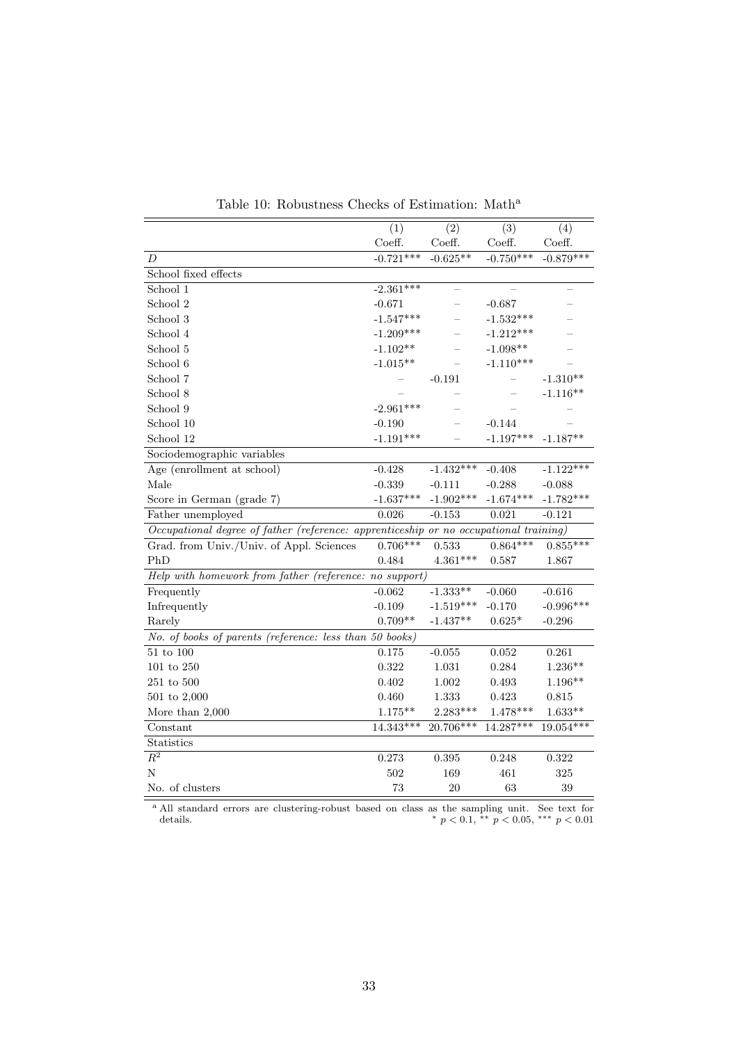|                                                                                       | (1)         | (2)         | (3)         | (4)                     |
|---------------------------------------------------------------------------------------|-------------|-------------|-------------|-------------------------|
|                                                                                       | Coeff.      | Coeff.      | Coeff.      | $\operatorname{Coeff.}$ |
| D                                                                                     | $-0.721***$ | $-0.625**$  | $-0.750***$ | $-0.879***$             |
| School fixed effects                                                                  |             |             |             |                         |
| School 1                                                                              | $-2.361***$ |             |             |                         |
| School 2                                                                              | $-0.671$    |             | $-0.687$    |                         |
| School 3                                                                              | $-1.547***$ |             | $-1.532***$ |                         |
| School 4                                                                              | $-1.209***$ |             | $-1.212***$ |                         |
| School 5                                                                              | $-1.102**$  |             | $-1.098**$  |                         |
| School 6                                                                              | $-1.015**$  |             | $-1.110***$ |                         |
| School 7                                                                              |             | $-0.191$    |             | $-1.310**$              |
| School 8                                                                              |             |             |             | $-1.116**$              |
| School 9                                                                              | $-2.961***$ |             |             |                         |
| School 10                                                                             | $-0.190$    |             | $-0.144$    |                         |
| School 12                                                                             | $-1.191***$ |             | $-1.197***$ | $-1.187**$              |
| Sociodemographic variables                                                            |             |             |             |                         |
| Age (enrollment at school)                                                            | $-0.428$    | $-1.432***$ | $-0.408$    | $-1.122***$             |
| Male                                                                                  | $-0.339$    | $-0.111$    | $-0.288$    | $-0.088$                |
| Score in German (grade 7)                                                             | $-1.637***$ | $-1.902***$ | $-1.674***$ | $-1.782***$             |
| Father unemployed                                                                     | 0.026       | $-0.153$    | 0.021       | $-0.121$                |
| Occupational degree of father (reference: apprenticeship or no occupational training) |             |             |             |                         |
| Grad. from Univ./Univ. of Appl. Sciences                                              | $0.706***$  | 0.533       | $0.864***$  | $0.855***$              |
| PhD                                                                                   | 0.484       | $4.361***$  | 0.587       | 1.867                   |
| Help with homework from father (reference: no support)                                |             |             |             |                         |
| Frequently                                                                            | $-0.062$    | $-1.333**$  | $-0.060$    | $-0.616$                |
| Infrequently                                                                          | $-0.109$    | $-1.519***$ | $-0.170$    | $-0.996***$             |
| Rarely                                                                                | $0.709**$   | $-1.437**$  | $0.625*$    | $-0.296$                |
| No. of books of parents (reference: less than 50 books)                               |             |             |             |                         |
| $51$ to $100\,$                                                                       | 0.175       | $-0.055$    | 0.052       | 0.261                   |
| $101$ to $250\,$                                                                      | 0.322       | 1.031       | 0.284       | $1.236**$               |
| $251$ to $500\,$                                                                      | 0.402       | $1.002\,$   | 0.493       | $1.196**$               |
| $501$ to $2,000$                                                                      | 0.460       | 1.333       | 0.423       | 0.815                   |
| More than $2,000$                                                                     | $1.175***$  | $2.283***$  | $1.478***$  | $1.633**$               |
| Constant                                                                              | 14.343***   | 20.706***   | 14.287***   | $19.054***$             |
| Statistics                                                                            |             |             |             |                         |
| $\overline{R^2}$                                                                      | 0.273       | 0.395       | 0.248       | 0.322                   |
| N                                                                                     | 502         | 169         | 461         | 325                     |
| No. of clusters                                                                       | 73          | 20          | 63          | 39                      |

Table 10: Robustness Checks of Estimation:  $\mathit{Math}^{\rm a}$